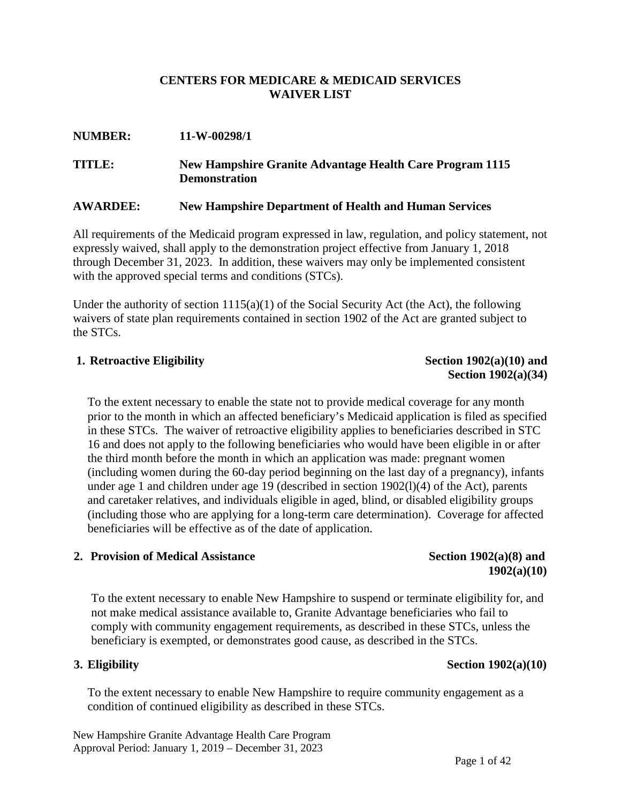#### **CENTERS FOR MEDICARE & MEDICAID SERVICES WAIVER LIST**

## **NUMBER: 11-W-00298/1 TITLE: New Hampshire Granite Advantage Health Care Program 1115 Demonstration**

#### **AWARDEE: New Hampshire Department of Health and Human Services**

All requirements of the Medicaid program expressed in law, regulation, and policy statement, not expressly waived, shall apply to the demonstration project effective from January 1, 2018 through December 31, 2023. In addition, these waivers may only be implemented consistent with the approved special terms and conditions (STCs).

Under the authority of section  $1115(a)(1)$  of the Social Security Act (the Act), the following waivers of state plan requirements contained in section 1902 of the Act are granted subject to the STCs.

#### **1.** Retroactive Eligibility Section 1902(a)(10) and

# **Section 1902(a)(34)**

To the extent necessary to enable the state not to provide medical coverage for any month prior to the month in which an affected beneficiary's Medicaid application is filed as specified in these STCs. The waiver of retroactive eligibility applies to beneficiaries described in STC 16 and does not apply to the following beneficiaries who would have been eligible in or after the third month before the month in which an application was made: pregnant women (including women during the 60-day period beginning on the last day of a pregnancy), infants under age 1 and children under age 19 (described in section 1902(l)(4) of the Act), parents and caretaker relatives, and individuals eligible in aged, blind, or disabled eligibility groups (including those who are applying for a long-term care determination). Coverage for affected beneficiaries will be effective as of the date of application.

#### **2. Provision** of Medical Assistance Section 1902(a)(8) and

# **1902(a)(10)**

To the extent necessary to enable New Hampshire to suspend or terminate eligibility for, and not make medical assistance available to, Granite Advantage beneficiaries who fail to comply with community engagement requirements, as described in these STCs, unless the beneficiary is exempted, or demonstrates good cause, as described in the STCs.

To the extent necessary to enable New Hampshire to require community engagement as a condition of continued eligibility as described in these STCs.

#### **3. Eligibility Section 1902(a)(10)**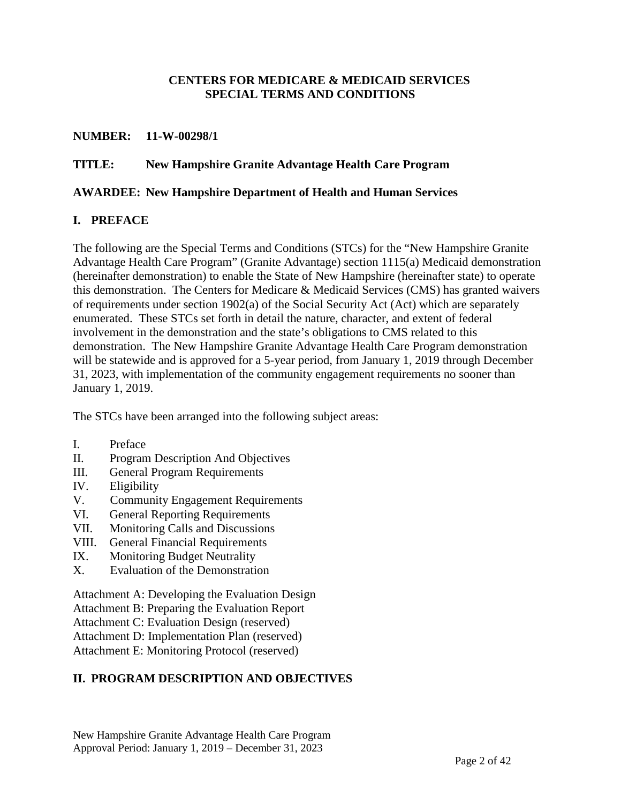#### **CENTERS FOR MEDICARE & MEDICAID SERVICES SPECIAL TERMS AND CONDITIONS**

#### **NUMBER: 11-W-00298/1**

#### **TITLE: New Hampshire Granite Advantage Health Care Program**

#### **AWARDEE: New Hampshire Department of Health and Human Services**

#### **I. PREFACE**

The following are the Special Terms and Conditions (STCs) for the "New Hampshire Granite Advantage Health Care Program" (Granite Advantage) section 1115(a) Medicaid demonstration (hereinafter demonstration) to enable the State of New Hampshire (hereinafter state) to operate this demonstration. The Centers for Medicare & Medicaid Services (CMS) has granted waivers of requirements under section 1902(a) of the Social Security Act (Act) which are separately enumerated. These STCs set forth in detail the nature, character, and extent of federal involvement in the demonstration and the state's obligations to CMS related to this demonstration. The New Hampshire Granite Advantage Health Care Program demonstration will be statewide and is approved for a 5-year period, from January 1, 2019 through December 31, 2023, with implementation of the community engagement requirements no sooner than January 1, 2019.

The STCs have been arranged into the following subject areas:

- I. Preface
- II. Program Description And Objectives
- III. General Program Requirements
- IV. Eligibility
- V. Community Engagement Requirements
- VI. General Reporting Requirements
- VII. Monitoring Calls and Discussions
- VIII. General Financial Requirements
- IX. Monitoring Budget Neutrality
- X. Evaluation of the Demonstration

Attachment A: Developing the Evaluation Design

Attachment B: Preparing the Evaluation Report

Attachment C: Evaluation Design (reserved)

Attachment D: Implementation Plan (reserved)

Attachment E: Monitoring Protocol (reserved)

#### **II. PROGRAM DESCRIPTION AND OBJECTIVES**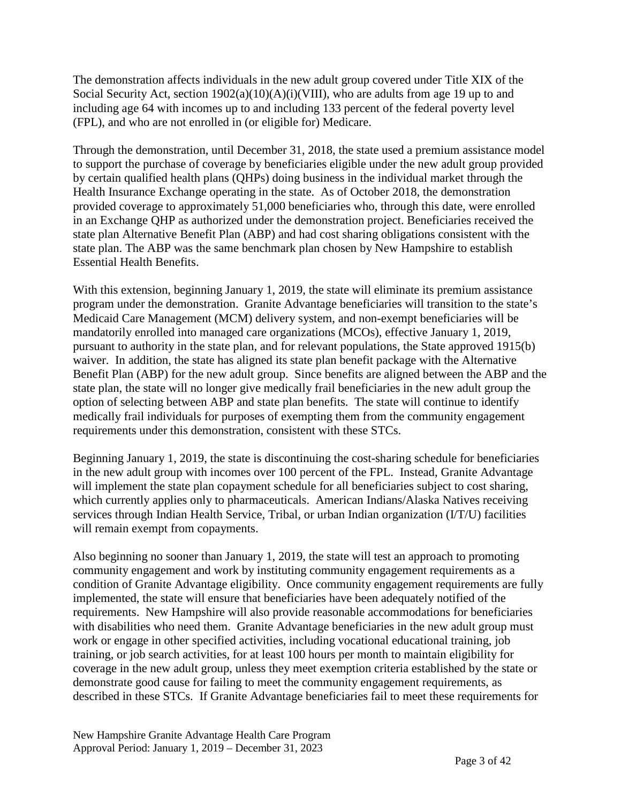The demonstration affects individuals in the new adult group covered under Title XIX of the Social Security Act, section  $1902(a)(10)(A)(i)(VIII)$ , who are adults from age 19 up to and including age 64 with incomes up to and including 133 percent of the federal poverty level (FPL), and who are not enrolled in (or eligible for) Medicare.

Through the demonstration, until December 31, 2018, the state used a premium assistance model to support the purchase of coverage by beneficiaries eligible under the new adult group provided by certain qualified health plans (QHPs) doing business in the individual market through the Health Insurance Exchange operating in the state. As of October 2018, the demonstration provided coverage to approximately 51,000 beneficiaries who, through this date, were enrolled in an Exchange QHP as authorized under the demonstration project. Beneficiaries received the state plan Alternative Benefit Plan (ABP) and had cost sharing obligations consistent with the state plan. The ABP was the same benchmark plan chosen by New Hampshire to establish Essential Health Benefits.

With this extension, beginning January 1, 2019, the state will eliminate its premium assistance program under the demonstration. Granite Advantage beneficiaries will transition to the state's Medicaid Care Management (MCM) delivery system, and non-exempt beneficiaries will be mandatorily enrolled into managed care organizations (MCOs), effective January 1, 2019, pursuant to authority in the state plan, and for relevant populations, the State approved 1915(b) waiver. In addition, the state has aligned its state plan benefit package with the Alternative Benefit Plan (ABP) for the new adult group. Since benefits are aligned between the ABP and the state plan, the state will no longer give medically frail beneficiaries in the new adult group the option of selecting between ABP and state plan benefits. The state will continue to identify medically frail individuals for purposes of exempting them from the community engagement requirements under this demonstration, consistent with these STCs.

Beginning January 1, 2019, the state is discontinuing the cost-sharing schedule for beneficiaries in the new adult group with incomes over 100 percent of the FPL. Instead, Granite Advantage will implement the state plan copayment schedule for all beneficiaries subject to cost sharing, which currently applies only to pharmaceuticals. American Indians/Alaska Natives receiving services through Indian Health Service, Tribal, or urban Indian organization (I/T/U) facilities will remain exempt from copayments.

Also beginning no sooner than January 1, 2019, the state will test an approach to promoting community engagement and work by instituting community engagement requirements as a condition of Granite Advantage eligibility. Once community engagement requirements are fully implemented, the state will ensure that beneficiaries have been adequately notified of the requirements. New Hampshire will also provide reasonable accommodations for beneficiaries with disabilities who need them. Granite Advantage beneficiaries in the new adult group must work or engage in other specified activities, including vocational educational training, job training, or job search activities, for at least 100 hours per month to maintain eligibility for coverage in the new adult group, unless they meet exemption criteria established by the state or demonstrate good cause for failing to meet the community engagement requirements, as described in these STCs. If Granite Advantage beneficiaries fail to meet these requirements for

New Hampshire Granite Advantage Health Care Program Approval Period: January 1, 2019 – December 31, 2023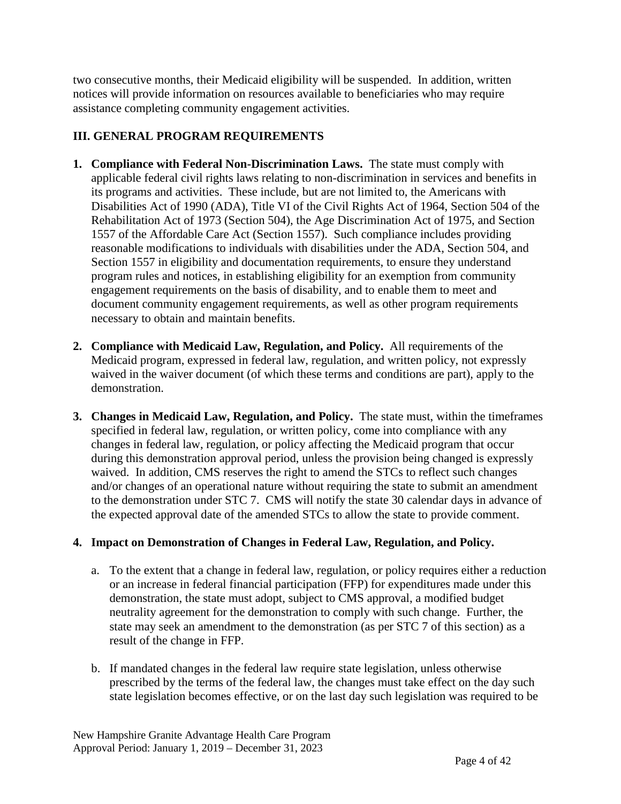two consecutive months, their Medicaid eligibility will be suspended. In addition, written notices will provide information on resources available to beneficiaries who may require assistance completing community engagement activities.

#### **III. GENERAL PROGRAM REQUIREMENTS**

- **1. Compliance with Federal Non-Discrimination Laws.** The state must comply with applicable federal civil rights laws relating to non-discrimination in services and benefits in its programs and activities. These include, but are not limited to, the Americans with Disabilities Act of 1990 (ADA), Title VI of the Civil Rights Act of 1964, Section 504 of the Rehabilitation Act of 1973 (Section 504), the Age Discrimination Act of 1975, and Section 1557 of the Affordable Care Act (Section 1557). Such compliance includes providing reasonable modifications to individuals with disabilities under the ADA, Section 504, and Section 1557 in eligibility and documentation requirements, to ensure they understand program rules and notices, in establishing eligibility for an exemption from community engagement requirements on the basis of disability, and to enable them to meet and document community engagement requirements, as well as other program requirements necessary to obtain and maintain benefits.
- **2. Compliance with Medicaid Law, Regulation, and Policy.** All requirements of the Medicaid program, expressed in federal law, regulation, and written policy, not expressly waived in the waiver document (of which these terms and conditions are part), apply to the demonstration.
- **3. Changes in Medicaid Law, Regulation, and Policy.** The state must, within the timeframes specified in federal law, regulation, or written policy, come into compliance with any changes in federal law, regulation, or policy affecting the Medicaid program that occur during this demonstration approval period, unless the provision being changed is expressly waived. In addition, CMS reserves the right to amend the STCs to reflect such changes and/or changes of an operational nature without requiring the state to submit an amendment to the demonstration under STC 7. CMS will notify the state 30 calendar days in advance of the expected approval date of the amended STCs to allow the state to provide comment.

#### **4. Impact on Demonstration of Changes in Federal Law, Regulation, and Policy.**

- a. To the extent that a change in federal law, regulation, or policy requires either a reduction or an increase in federal financial participation (FFP) for expenditures made under this demonstration, the state must adopt, subject to CMS approval, a modified budget neutrality agreement for the demonstration to comply with such change. Further, the state may seek an amendment to the demonstration (as per STC 7 of this section) as a result of the change in FFP.
- b. If mandated changes in the federal law require state legislation, unless otherwise prescribed by the terms of the federal law, the changes must take effect on the day such state legislation becomes effective, or on the last day such legislation was required to be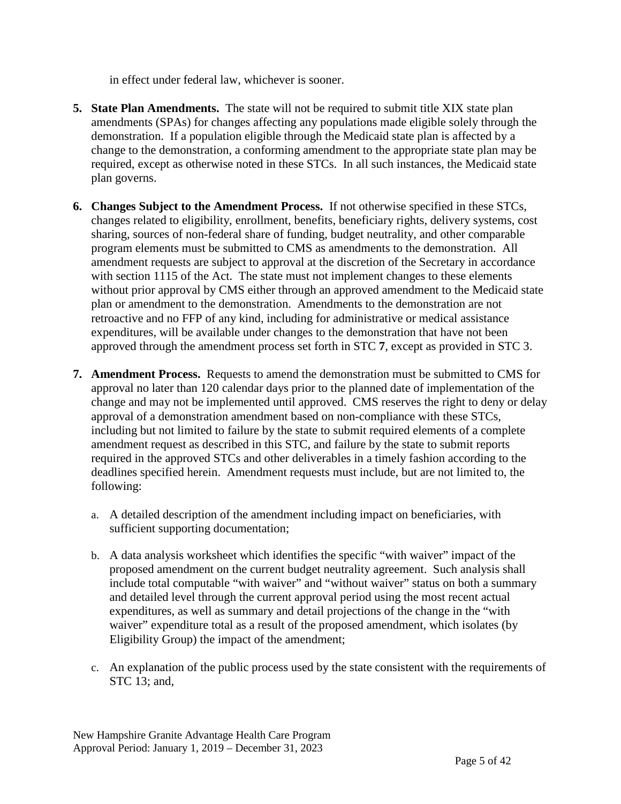in effect under federal law, whichever is sooner.

- **5. State Plan Amendments.** The state will not be required to submit title XIX state plan amendments (SPAs) for changes affecting any populations made eligible solely through the demonstration. If a population eligible through the Medicaid state plan is affected by a change to the demonstration, a conforming amendment to the appropriate state plan may be required, except as otherwise noted in these STCs. In all such instances, the Medicaid state plan governs.
- **6. Changes Subject to the Amendment Process.** If not otherwise specified in these STCs, changes related to eligibility, enrollment, benefits, beneficiary rights, delivery systems, cost sharing, sources of non-federal share of funding, budget neutrality, and other comparable program elements must be submitted to CMS as amendments to the demonstration. All amendment requests are subject to approval at the discretion of the Secretary in accordance with section 1115 of the Act. The state must not implement changes to these elements without prior approval by CMS either through an approved amendment to the Medicaid state plan or amendment to the demonstration. Amendments to the demonstration are not retroactive and no FFP of any kind, including for administrative or medical assistance expenditures, will be available under changes to the demonstration that have not been approved through the amendment process set forth in STC **7**, except as provided in STC 3.
- **7. Amendment Process.** Requests to amend the demonstration must be submitted to CMS for approval no later than 120 calendar days prior to the planned date of implementation of the change and may not be implemented until approved. CMS reserves the right to deny or delay approval of a demonstration amendment based on non-compliance with these STCs, including but not limited to failure by the state to submit required elements of a complete amendment request as described in this STC, and failure by the state to submit reports required in the approved STCs and other deliverables in a timely fashion according to the deadlines specified herein. Amendment requests must include, but are not limited to, the following:
	- a. A detailed description of the amendment including impact on beneficiaries, with sufficient supporting documentation;
	- b. A data analysis worksheet which identifies the specific "with waiver" impact of the proposed amendment on the current budget neutrality agreement. Such analysis shall include total computable "with waiver" and "without waiver" status on both a summary and detailed level through the current approval period using the most recent actual expenditures, as well as summary and detail projections of the change in the "with waiver" expenditure total as a result of the proposed amendment, which isolates (by Eligibility Group) the impact of the amendment;
	- c. An explanation of the public process used by the state consistent with the requirements of STC 13; and,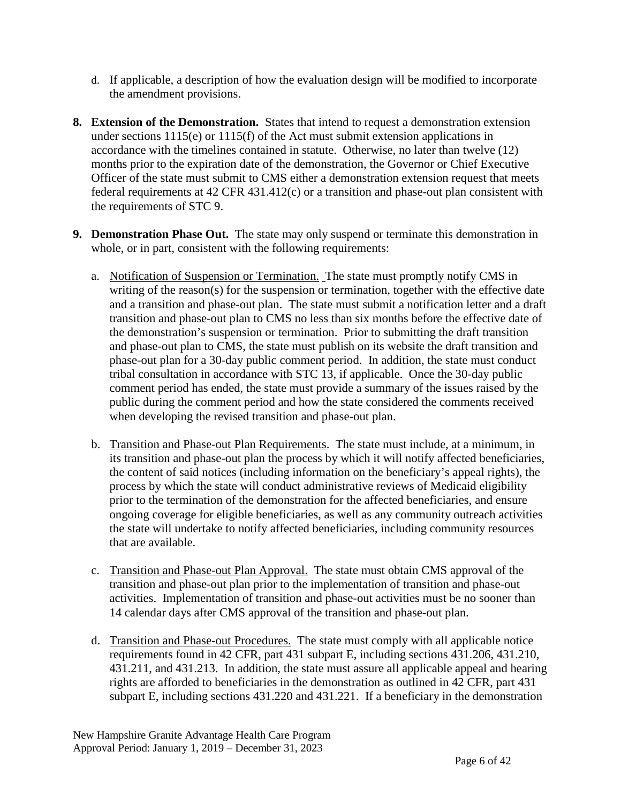- d. If applicable, a description of how the evaluation design will be modified to incorporate the amendment provisions.
- **8. Extension of the Demonstration.** States that intend to request a demonstration extension under sections 1115(e) or 1115(f) of the Act must submit extension applications in accordance with the timelines contained in statute. Otherwise, no later than twelve (12) months prior to the expiration date of the demonstration, the Governor or Chief Executive Officer of the state must submit to CMS either a demonstration extension request that meets federal requirements at 42 CFR 431.412(c) or a transition and phase-out plan consistent with the requirements of STC 9.
- **9. Demonstration Phase Out.** The state may only suspend or terminate this demonstration in whole, or in part, consistent with the following requirements:
	- a. Notification of Suspension or Termination. The state must promptly notify CMS in writing of the reason(s) for the suspension or termination, together with the effective date and a transition and phase-out plan. The state must submit a notification letter and a draft transition and phase-out plan to CMS no less than six months before the effective date of the demonstration's suspension or termination. Prior to submitting the draft transition and phase-out plan to CMS, the state must publish on its website the draft transition and phase-out plan for a 30-day public comment period. In addition, the state must conduct tribal consultation in accordance with STC 13, if applicable. Once the 30-day public comment period has ended, the state must provide a summary of the issues raised by the public during the comment period and how the state considered the comments received when developing the revised transition and phase-out plan.
	- b. Transition and Phase-out Plan Requirements. The state must include, at a minimum, in its transition and phase-out plan the process by which it will notify affected beneficiaries, the content of said notices (including information on the beneficiary's appeal rights), the process by which the state will conduct administrative reviews of Medicaid eligibility prior to the termination of the demonstration for the affected beneficiaries, and ensure ongoing coverage for eligible beneficiaries, as well as any community outreach activities the state will undertake to notify affected beneficiaries, including community resources that are available.
	- c. Transition and Phase-out Plan Approval. The state must obtain CMS approval of the transition and phase-out plan prior to the implementation of transition and phase-out activities. Implementation of transition and phase-out activities must be no sooner than 14 calendar days after CMS approval of the transition and phase-out plan.
	- d. Transition and Phase-out Procedures. The state must comply with all applicable notice requirements found in 42 CFR, part 431 subpart E, including sections 431.206, 431.210, 431.211, and 431.213. In addition, the state must assure all applicable appeal and hearing rights are afforded to beneficiaries in the demonstration as outlined in 42 CFR, part 431 subpart E, including sections 431.220 and 431.221. If a beneficiary in the demonstration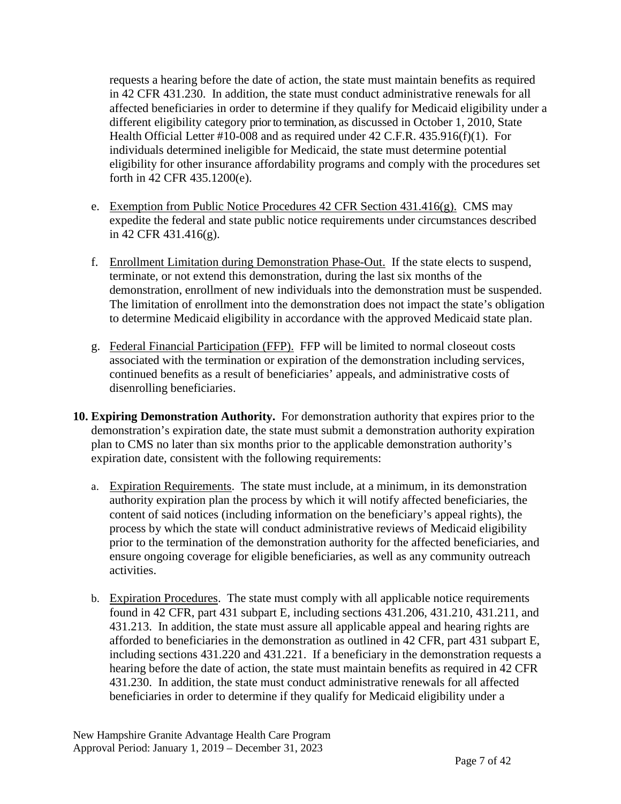requests a hearing before the date of action, the state must maintain benefits as required in 42 CFR 431.230. In addition, the state must conduct administrative renewals for all affected beneficiaries in order to determine if they qualify for Medicaid eligibility under a different eligibility category prior to termination, as discussed in October 1, 2010, State Health Official Letter #10-008 and as required under 42 C.F.R. 435.916(f)(1). For individuals determined ineligible for Medicaid, the state must determine potential eligibility for other insurance affordability programs and comply with the procedures set forth in 42 CFR 435.1200(e).

- e. Exemption from Public Notice Procedures  $42$  CFR Section  $431.416(g)$ . CMS may expedite the federal and state public notice requirements under circumstances described in 42 CFR 431.416(g).
- f. Enrollment Limitation during Demonstration Phase-Out. If the state elects to suspend, terminate, or not extend this demonstration, during the last six months of the demonstration, enrollment of new individuals into the demonstration must be suspended. The limitation of enrollment into the demonstration does not impact the state's obligation to determine Medicaid eligibility in accordance with the approved Medicaid state plan.
- g. Federal Financial Participation (FFP). FFP will be limited to normal closeout costs associated with the termination or expiration of the demonstration including services, continued benefits as a result of beneficiaries' appeals, and administrative costs of disenrolling beneficiaries.
- **10. Expiring Demonstration Authority.** For demonstration authority that expires prior to the demonstration's expiration date, the state must submit a demonstration authority expiration plan to CMS no later than six months prior to the applicable demonstration authority's expiration date, consistent with the following requirements:
	- a. Expiration Requirements. The state must include, at a minimum, in its demonstration authority expiration plan the process by which it will notify affected beneficiaries, the content of said notices (including information on the beneficiary's appeal rights), the process by which the state will conduct administrative reviews of Medicaid eligibility prior to the termination of the demonstration authority for the affected beneficiaries, and ensure ongoing coverage for eligible beneficiaries, as well as any community outreach activities.
	- b. Expiration Procedures. The state must comply with all applicable notice requirements found in 42 CFR, part 431 subpart E, including sections 431.206, 431.210, 431.211, and 431.213. In addition, the state must assure all applicable appeal and hearing rights are afforded to beneficiaries in the demonstration as outlined in 42 CFR, part 431 subpart E, including sections 431.220 and 431.221. If a beneficiary in the demonstration requests a hearing before the date of action, the state must maintain benefits as required in 42 CFR 431.230. In addition, the state must conduct administrative renewals for all affected beneficiaries in order to determine if they qualify for Medicaid eligibility under a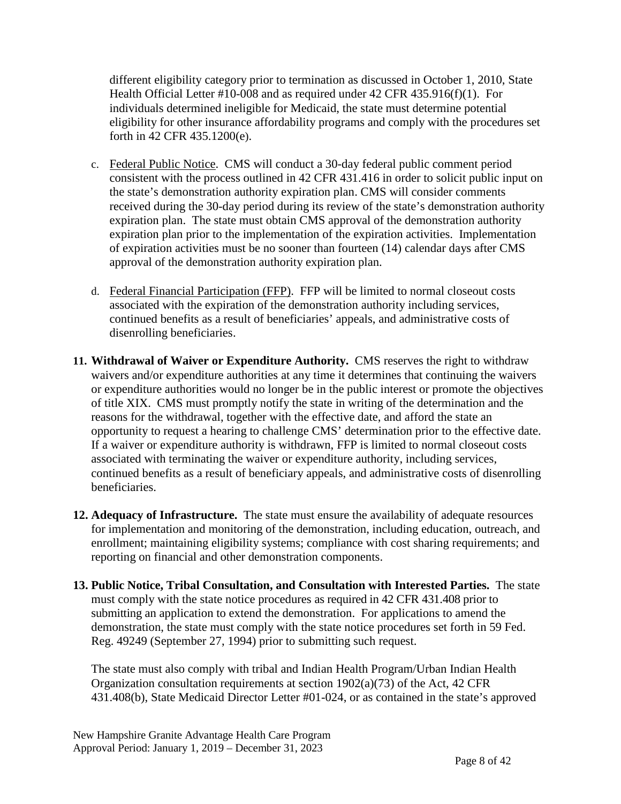different eligibility category prior to termination as discussed in October 1, 2010, State Health Official Letter #10-008 and as required under 42 CFR 435.916(f)(1). For individuals determined ineligible for Medicaid, the state must determine potential eligibility for other insurance affordability programs and comply with the procedures set forth in 42 CFR 435.1200(e).

- c. Federal Public Notice. CMS will conduct a 30-day federal public comment period consistent with the process outlined in 42 CFR 431.416 in order to solicit public input on the state's demonstration authority expiration plan. CMS will consider comments received during the 30-day period during its review of the state's demonstration authority expiration plan. The state must obtain CMS approval of the demonstration authority expiration plan prior to the implementation of the expiration activities. Implementation of expiration activities must be no sooner than fourteen (14) calendar days after CMS approval of the demonstration authority expiration plan.
- d. Federal Financial Participation (FFP). FFP will be limited to normal closeout costs associated with the expiration of the demonstration authority including services, continued benefits as a result of beneficiaries' appeals, and administrative costs of disenrolling beneficiaries.
- **11. Withdrawal of Waiver or Expenditure Authority.** CMS reserves the right to withdraw waivers and/or expenditure authorities at any time it determines that continuing the waivers or expenditure authorities would no longer be in the public interest or promote the objectives of title XIX. CMS must promptly notify the state in writing of the determination and the reasons for the withdrawal, together with the effective date, and afford the state an opportunity to request a hearing to challenge CMS' determination prior to the effective date. If a waiver or expenditure authority is withdrawn, FFP is limited to normal closeout costs associated with terminating the waiver or expenditure authority, including services, continued benefits as a result of beneficiary appeals, and administrative costs of disenrolling beneficiaries.
- **12. Adequacy of Infrastructure.** The state must ensure the availability of adequate resources for implementation and monitoring of the demonstration, including education, outreach, and enrollment; maintaining eligibility systems; compliance with cost sharing requirements; and reporting on financial and other demonstration components.
- **13. Public Notice, Tribal Consultation, and Consultation with Interested Parties.** The state must comply with the state notice procedures as required in 42 CFR 431.408 prior to submitting an application to extend the demonstration. For applications to amend the demonstration, the state must comply with the state notice procedures set forth in 59 Fed. Reg. 49249 (September 27, 1994) prior to submitting such request.

The state must also comply with tribal and Indian Health Program/Urban Indian Health Organization consultation requirements at section 1902(a)(73) of the Act, 42 CFR 431.408(b), State Medicaid Director Letter #01-024, or as contained in the state's approved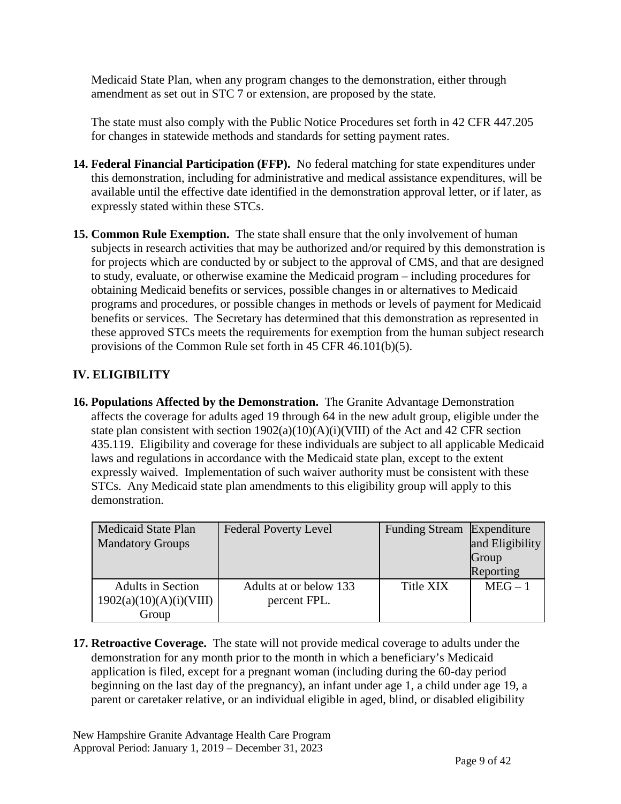Medicaid State Plan, when any program changes to the demonstration, either through amendment as set out in STC 7 or extension, are proposed by the state.

The state must also comply with the Public Notice Procedures set forth in 42 CFR 447.205 for changes in statewide methods and standards for setting payment rates.

- **14. Federal Financial Participation (FFP).** No federal matching for state expenditures under this demonstration, including for administrative and medical assistance expenditures, will be available until the effective date identified in the demonstration approval letter, or if later, as expressly stated within these STCs.
- **15. Common Rule Exemption.** The state shall ensure that the only involvement of human subjects in research activities that may be authorized and/or required by this demonstration is for projects which are conducted by or subject to the approval of CMS, and that are designed to study, evaluate, or otherwise examine the Medicaid program – including procedures for obtaining Medicaid benefits or services, possible changes in or alternatives to Medicaid programs and procedures, or possible changes in methods or levels of payment for Medicaid benefits or services. The Secretary has determined that this demonstration as represented in these approved STCs meets the requirements for exemption from the human subject research provisions of the Common Rule set forth in 45 CFR 46.101(b)(5).

### **IV. ELIGIBILITY**

**16. Populations Affected by the Demonstration.** The Granite Advantage Demonstration affects the coverage for adults aged 19 through 64 in the new adult group, eligible under the state plan consistent with section  $1902(a)(10)(A)(i)(VIII)$  of the Act and 42 CFR section 435.119. Eligibility and coverage for these individuals are subject to all applicable Medicaid laws and regulations in accordance with the Medicaid state plan, except to the extent expressly waived. Implementation of such waiver authority must be consistent with these STCs. Any Medicaid state plan amendments to this eligibility group will apply to this demonstration.

| <b>Medicaid State Plan</b><br><b>Mandatory Groups</b>        | <b>Federal Poverty Level</b>           | Funding Stream Expenditure | and Eligibility<br>Group<br>Reporting |
|--------------------------------------------------------------|----------------------------------------|----------------------------|---------------------------------------|
| <b>Adults in Section</b><br>1902(a)(10)(A)(i)(VIII)<br>Group | Adults at or below 133<br>percent FPL. | Title XIX                  | $MEG - 1$                             |

**17. Retroactive Coverage.** The state will not provide medical coverage to adults under the demonstration for any month prior to the month in which a beneficiary's Medicaid application is filed, except for a pregnant woman (including during the 60-day period beginning on the last day of the pregnancy), an infant under age 1, a child under age 19, a parent or caretaker relative, or an individual eligible in aged, blind, or disabled eligibility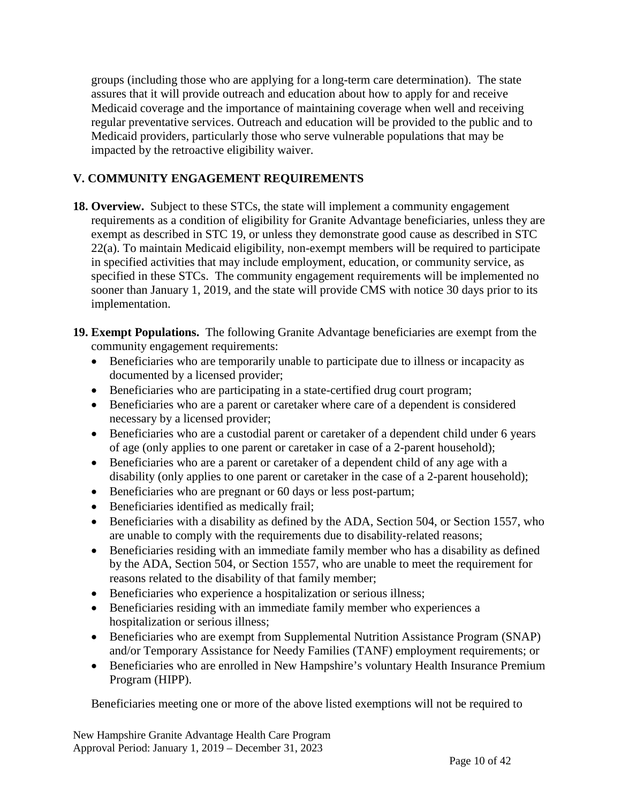groups (including those who are applying for a long-term care determination). The state assures that it will provide outreach and education about how to apply for and receive Medicaid coverage and the importance of maintaining coverage when well and receiving regular preventative services. Outreach and education will be provided to the public and to Medicaid providers, particularly those who serve vulnerable populations that may be impacted by the retroactive eligibility waiver.

#### **V. COMMUNITY ENGAGEMENT REQUIREMENTS**

- **18. Overview.** Subject to these STCs, the state will implement a community engagement requirements as a condition of eligibility for Granite Advantage beneficiaries, unless they are exempt as described in STC [19,](#page-9-0) or unless they demonstrate good cause as described in STC [22\(](#page-11-0)a). To maintain Medicaid eligibility, non-exempt members will be required to participate in specified activities that may include employment, education, or community service, as specified in these STCs. The community engagement requirements will be implemented no sooner than January 1, 2019, and the state will provide CMS with notice 30 days prior to its implementation.
- <span id="page-9-0"></span>**19. Exempt Populations.** The following Granite Advantage beneficiaries are exempt from the community engagement requirements:
	- Beneficiaries who are temporarily unable to participate due to illness or incapacity as documented by a licensed provider;
	- Beneficiaries who are participating in a state-certified drug court program;
	- Beneficiaries who are a parent or caretaker where care of a dependent is considered necessary by a licensed provider;
	- Beneficiaries who are a custodial parent or caretaker of a dependent child under 6 years of age (only applies to one parent or caretaker in case of a 2-parent household);
	- Beneficiaries who are a parent or caretaker of a dependent child of any age with a disability (only applies to one parent or caretaker in the case of a 2-parent household);
	- Beneficiaries who are pregnant or 60 days or less post-partum;
	- Beneficiaries identified as medically frail;
	- Beneficiaries with a disability as defined by the ADA, Section 504, or Section 1557, who are unable to comply with the requirements due to disability-related reasons;
	- Beneficiaries residing with an immediate family member who has a disability as defined by the ADA, Section 504, or Section 1557, who are unable to meet the requirement for reasons related to the disability of that family member;
	- Beneficiaries who experience a hospitalization or serious illness;
	- Beneficiaries residing with an immediate family member who experiences a hospitalization or serious illness;
	- Beneficiaries who are exempt from Supplemental Nutrition Assistance Program (SNAP) and/or Temporary Assistance for Needy Families (TANF) employment requirements; or
	- Beneficiaries who are enrolled in New Hampshire's voluntary Health Insurance Premium Program (HIPP).

Beneficiaries meeting one or more of the above listed exemptions will not be required to

New Hampshire Granite Advantage Health Care Program Approval Period: January 1, 2019 – December 31, 2023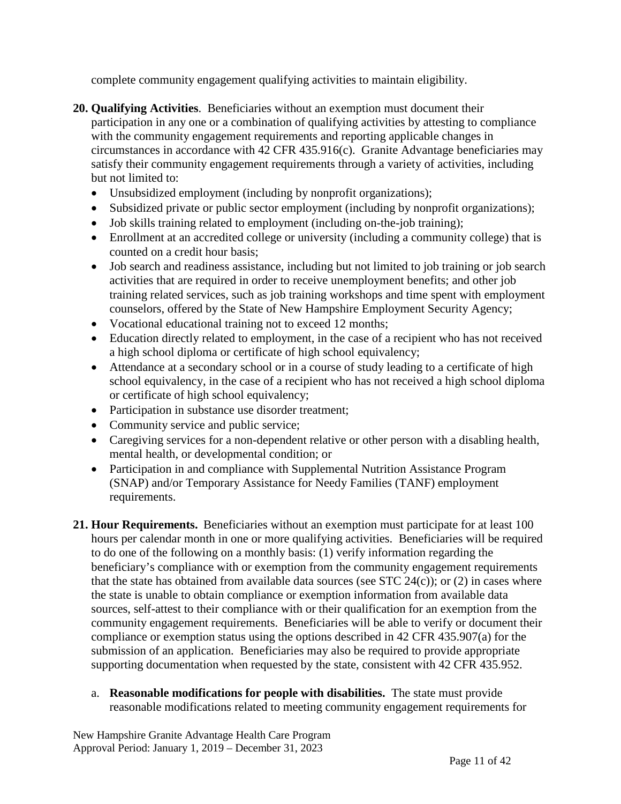complete community engagement qualifying activities to maintain eligibility.

- **20. Qualifying Activities**. Beneficiaries without an exemption must document their participation in any one or a combination of qualifying activities by attesting to compliance with the community engagement requirements and reporting applicable changes in circumstances in accordance with 42 CFR 435.916(c). Granite Advantage beneficiaries may satisfy their community engagement requirements through a variety of activities, including but not limited to:
	- Unsubsidized employment (including by nonprofit organizations);
	- Subsidized private or public sector employment (including by nonprofit organizations);
	- Job skills training related to employment (including on-the-job training);
	- Enrollment at an accredited college or university (including a community college) that is counted on a credit hour basis;
	- Job search and readiness assistance, including but not limited to job training or job search activities that are required in order to receive unemployment benefits; and other job training related services, such as job training workshops and time spent with employment counselors, offered by the State of New Hampshire Employment Security Agency;
	- Vocational educational training not to exceed 12 months;
	- Education directly related to employment, in the case of a recipient who has not received a high school diploma or certificate of high school equivalency;
	- Attendance at a secondary school or in a course of study leading to a certificate of high school equivalency, in the case of a recipient who has not received a high school diploma or certificate of high school equivalency;
	- Participation in substance use disorder treatment;
	- Community service and public service;
	- Caregiving services for a non-dependent relative or other person with a disabling health, mental health, or developmental condition; or
	- Participation in and compliance with Supplemental Nutrition Assistance Program (SNAP) and/or Temporary Assistance for Needy Families (TANF) employment requirements.
- **21. Hour Requirements.** Beneficiaries without an exemption must participate for at least 100 hours per calendar month in one or more qualifying activities. Beneficiaries will be required to do one of the following on a monthly basis: (1) verify information regarding the beneficiary's compliance with or exemption from the community engagement requirements that the state has obtained from available data sources (see STC  $24(c)$ ); or (2) in cases where the state is unable to obtain compliance or exemption information from available data sources, self-attest to their compliance with or their qualification for an exemption from the community engagement requirements. Beneficiaries will be able to verify or document their compliance or exemption status using the options described in 42 CFR 435.907(a) for the submission of an application. Beneficiaries may also be required to provide appropriate supporting documentation when requested by the state, consistent with 42 CFR 435.952.
	- a. **Reasonable modifications for people with disabilities.** The state must provide reasonable modifications related to meeting community engagement requirements for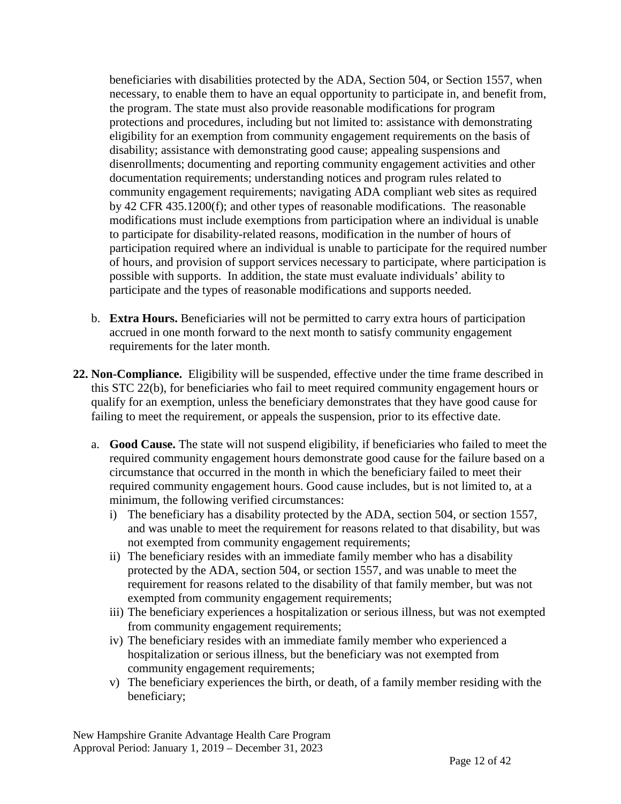beneficiaries with disabilities protected by the ADA, Section 504, or Section 1557, when necessary, to enable them to have an equal opportunity to participate in, and benefit from, the program. The state must also provide reasonable modifications for program protections and procedures, including but not limited to: assistance with demonstrating eligibility for an exemption from community engagement requirements on the basis of disability; assistance with demonstrating good cause; appealing suspensions and disenrollments; documenting and reporting community engagement activities and other documentation requirements; understanding notices and program rules related to community engagement requirements; navigating ADA compliant web sites as required by 42 CFR 435.1200(f); and other types of reasonable modifications. The reasonable modifications must include exemptions from participation where an individual is unable to participate for disability-related reasons, modification in the number of hours of participation required where an individual is unable to participate for the required number of hours, and provision of support services necessary to participate, where participation is possible with supports. In addition, the state must evaluate individuals' ability to participate and the types of reasonable modifications and supports needed.

- b. **Extra Hours.** Beneficiaries will not be permitted to carry extra hours of participation accrued in one month forward to the next month to satisfy community engagement requirements for the later month.
- <span id="page-11-0"></span>**22. Non-Compliance.** Eligibility will be suspended, effective under the time frame described in this STC 22(b), for beneficiaries who fail to meet required community engagement hours or qualify for an exemption, unless the beneficiary demonstrates that they have good cause for failing to meet the requirement, or appeals the suspension, prior to its effective date.
	- a. **Good Cause.** The state will not suspend eligibility, if beneficiaries who failed to meet the required community engagement hours demonstrate good cause for the failure based on a circumstance that occurred in the month in which the beneficiary failed to meet their required community engagement hours. Good cause includes, but is not limited to, at a minimum, the following verified circumstances:
		- i) The beneficiary has a disability protected by the ADA, section 504, or section 1557, and was unable to meet the requirement for reasons related to that disability, but was not exempted from community engagement requirements;
		- ii) The beneficiary resides with an immediate family member who has a disability protected by the ADA, section 504, or section 1557, and was unable to meet the requirement for reasons related to the disability of that family member, but was not exempted from community engagement requirements;
		- iii) The beneficiary experiences a hospitalization or serious illness, but was not exempted from community engagement requirements;
		- iv) The beneficiary resides with an immediate family member who experienced a hospitalization or serious illness, but the beneficiary was not exempted from community engagement requirements;
		- v) The beneficiary experiences the birth, or death, of a family member residing with the beneficiary;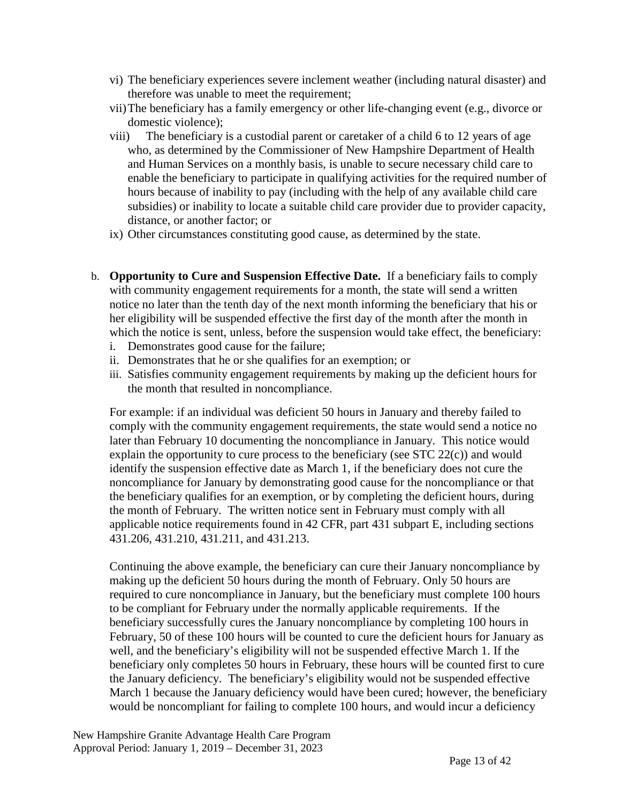- vi) The beneficiary experiences severe inclement weather (including natural disaster) and therefore was unable to meet the requirement;
- vii)The beneficiary has a family emergency or other life-changing event (e.g., divorce or domestic violence);
- viii) The beneficiary is a custodial parent or caretaker of a child 6 to 12 years of age who, as determined by the Commissioner of New Hampshire Department of Health and Human Services on a monthly basis, is unable to secure necessary child care to enable the beneficiary to participate in qualifying activities for the required number of hours because of inability to pay (including with the help of any available child care subsidies) or inability to locate a suitable child care provider due to provider capacity, distance, or another factor; or
- ix) Other circumstances constituting good cause, as determined by the state.
- b. **Opportunity to Cure and Suspension Effective Date.** If a beneficiary fails to comply with community engagement requirements for a month, the state will send a written notice no later than the tenth day of the next month informing the beneficiary that his or her eligibility will be suspended effective the first day of the month after the month in which the notice is sent, unless, before the suspension would take effect, the beneficiary:
	- i. Demonstrates good cause for the failure;
	- ii. Demonstrates that he or she qualifies for an exemption; or
	- iii. Satisfies community engagement requirements by making up the deficient hours for the month that resulted in noncompliance.

For example: if an individual was deficient 50 hours in January and thereby failed to comply with the community engagement requirements, the state would send a notice no later than February 10 documenting the noncompliance in January. This notice would explain the opportunity to cure process to the beneficiary (see  $STC 22(c)$ ) and would identify the suspension effective date as March 1, if the beneficiary does not cure the noncompliance for January by demonstrating good cause for the noncompliance or that the beneficiary qualifies for an exemption, or by completing the deficient hours, during the month of February. The written notice sent in February must comply with all applicable notice requirements found in 42 CFR, part 431 subpart E, including sections 431.206, 431.210, 431.211, and 431.213.

Continuing the above example, the beneficiary can cure their January noncompliance by making up the deficient 50 hours during the month of February. Only 50 hours are required to cure noncompliance in January, but the beneficiary must complete 100 hours to be compliant for February under the normally applicable requirements. If the beneficiary successfully cures the January noncompliance by completing 100 hours in February, 50 of these 100 hours will be counted to cure the deficient hours for January as well, and the beneficiary's eligibility will not be suspended effective March 1. If the beneficiary only completes 50 hours in February, these hours will be counted first to cure the January deficiency. The beneficiary's eligibility would not be suspended effective March 1 because the January deficiency would have been cured; however, the beneficiary would be noncompliant for failing to complete 100 hours, and would incur a deficiency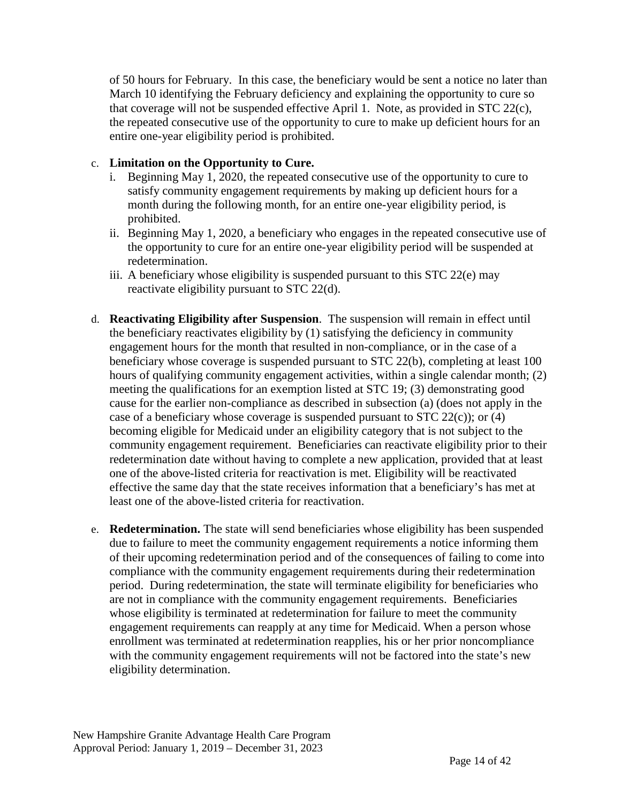of 50 hours for February. In this case, the beneficiary would be sent a notice no later than March 10 identifying the February deficiency and explaining the opportunity to cure so that coverage will not be suspended effective April 1. Note, as provided in STC 22(c), the repeated consecutive use of the opportunity to cure to make up deficient hours for an entire one-year eligibility period is prohibited.

#### c. **Limitation on the Opportunity to Cure.**

- i. Beginning May 1, 2020, the repeated consecutive use of the opportunity to cure to satisfy community engagement requirements by making up deficient hours for a month during the following month, for an entire one-year eligibility period, is prohibited.
- ii. Beginning May 1, 2020, a beneficiary who engages in the repeated consecutive use of the opportunity to cure for an entire one-year eligibility period will be suspended at redetermination.
- iii. A beneficiary whose eligibility is suspended pursuant to this STC 22(e) may reactivate eligibility pursuant to STC 22(d).
- d. **Reactivating Eligibility after Suspension**. The suspension will remain in effect until the beneficiary reactivates eligibility by (1) satisfying the deficiency in community engagement hours for the month that resulted in non-compliance, or in the case of a beneficiary whose coverage is suspended pursuant to STC 22(b), completing at least 100 hours of qualifying community engagement activities, within a single calendar month; (2) meeting the qualifications for an exemption listed at STC 19; (3) demonstrating good cause for the earlier non-compliance as described in subsection (a) (does not apply in the case of a beneficiary whose coverage is suspended pursuant to STC 22(c)); or (4) becoming eligible for Medicaid under an eligibility category that is not subject to the community engagement requirement. Beneficiaries can reactivate eligibility prior to their redetermination date without having to complete a new application, provided that at least one of the above-listed criteria for reactivation is met. Eligibility will be reactivated effective the same day that the state receives information that a beneficiary's has met at least one of the above-listed criteria for reactivation.
- e. **Redetermination.** The state will send beneficiaries whose eligibility has been suspended due to failure to meet the community engagement requirements a notice informing them of their upcoming redetermination period and of the consequences of failing to come into compliance with the community engagement requirements during their redetermination period. During redetermination, the state will terminate eligibility for beneficiaries who are not in compliance with the community engagement requirements. Beneficiaries whose eligibility is terminated at redetermination for failure to meet the community engagement requirements can reapply at any time for Medicaid. When a person whose enrollment was terminated at redetermination reapplies, his or her prior noncompliance with the community engagement requirements will not be factored into the state's new eligibility determination.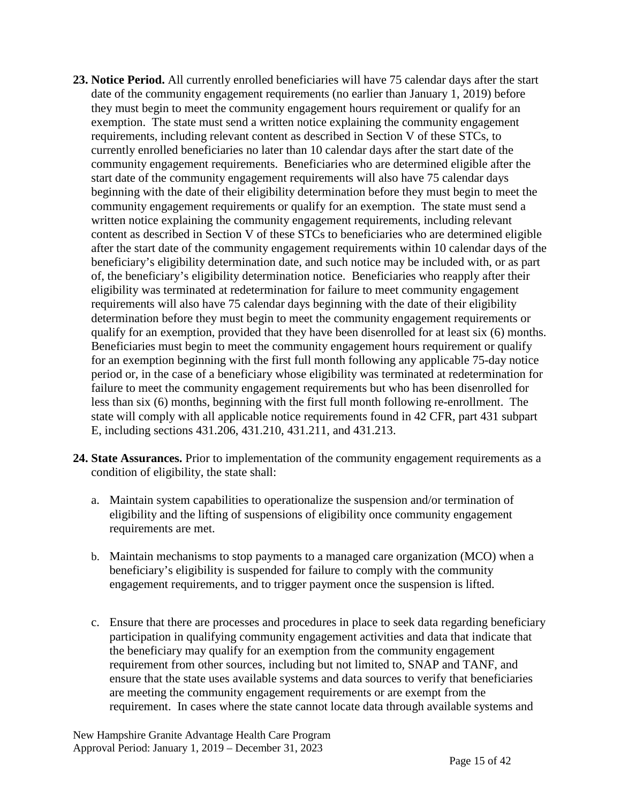- **23. Notice Period.** All currently enrolled beneficiaries will have 75 calendar days after the start date of the community engagement requirements (no earlier than January 1, 2019) before they must begin to meet the community engagement hours requirement or qualify for an exemption. The state must send a written notice explaining the community engagement requirements, including relevant content as described in Section V of these STCs, to currently enrolled beneficiaries no later than 10 calendar days after the start date of the community engagement requirements. Beneficiaries who are determined eligible after the start date of the community engagement requirements will also have 75 calendar days beginning with the date of their eligibility determination before they must begin to meet the community engagement requirements or qualify for an exemption. The state must send a written notice explaining the community engagement requirements, including relevant content as described in Section V of these STCs to beneficiaries who are determined eligible after the start date of the community engagement requirements within 10 calendar days of the beneficiary's eligibility determination date, and such notice may be included with, or as part of, the beneficiary's eligibility determination notice. Beneficiaries who reapply after their eligibility was terminated at redetermination for failure to meet community engagement requirements will also have 75 calendar days beginning with the date of their eligibility determination before they must begin to meet the community engagement requirements or qualify for an exemption, provided that they have been disenrolled for at least six (6) months. Beneficiaries must begin to meet the community engagement hours requirement or qualify for an exemption beginning with the first full month following any applicable 75-day notice period or, in the case of a beneficiary whose eligibility was terminated at redetermination for failure to meet the community engagement requirements but who has been disenrolled for less than six (6) months, beginning with the first full month following re-enrollment. The state will comply with all applicable notice requirements found in 42 CFR, part 431 subpart E, including sections 431.206, 431.210, 431.211, and 431.213.
- **24. State Assurances.** Prior to implementation of the community engagement requirements as a condition of eligibility, the state shall:
	- a. Maintain system capabilities to operationalize the suspension and/or termination of eligibility and the lifting of suspensions of eligibility once community engagement requirements are met.
	- b. Maintain mechanisms to stop payments to a managed care organization (MCO) when a beneficiary's eligibility is suspended for failure to comply with the community engagement requirements, and to trigger payment once the suspension is lifted.
	- c. Ensure that there are processes and procedures in place to seek data regarding beneficiary participation in qualifying community engagement activities and data that indicate that the beneficiary may qualify for an exemption from the community engagement requirement from other sources, including but not limited to, SNAP and TANF, and ensure that the state uses available systems and data sources to verify that beneficiaries are meeting the community engagement requirements or are exempt from the requirement. In cases where the state cannot locate data through available systems and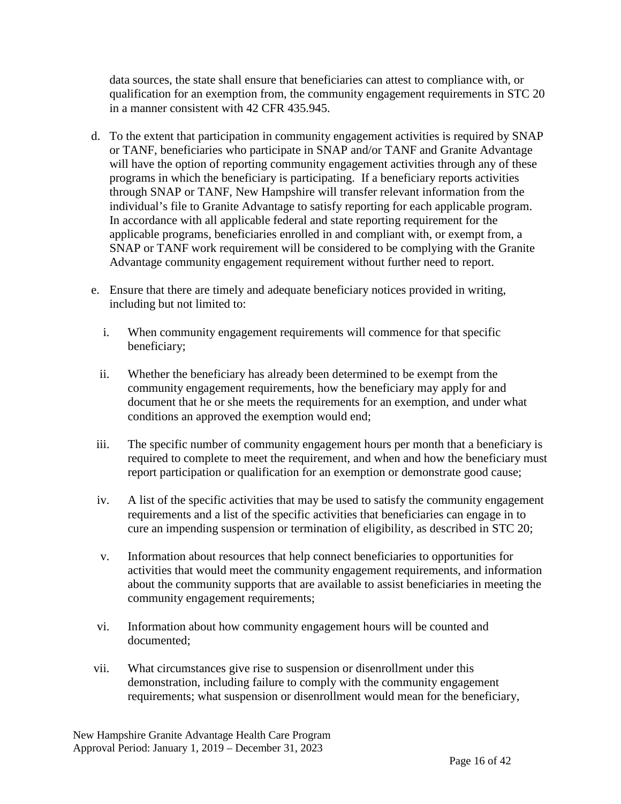data sources, the state shall ensure that beneficiaries can attest to compliance with, or qualification for an exemption from, the community engagement requirements in STC 20 in a manner consistent with 42 CFR 435.945.

- d. To the extent that participation in community engagement activities is required by SNAP or TANF, beneficiaries who participate in SNAP and/or TANF and Granite Advantage will have the option of reporting community engagement activities through any of these programs in which the beneficiary is participating. If a beneficiary reports activities through SNAP or TANF, New Hampshire will transfer relevant information from the individual's file to Granite Advantage to satisfy reporting for each applicable program. In accordance with all applicable federal and state reporting requirement for the applicable programs, beneficiaries enrolled in and compliant with, or exempt from, a SNAP or TANF work requirement will be considered to be complying with the Granite Advantage community engagement requirement without further need to report.
- e. Ensure that there are timely and adequate beneficiary notices provided in writing, including but not limited to:
	- i. When community engagement requirements will commence for that specific beneficiary;
	- ii. Whether the beneficiary has already been determined to be exempt from the community engagement requirements, how the beneficiary may apply for and document that he or she meets the requirements for an exemption, and under what conditions an approved the exemption would end;
- iii. The specific number of community engagement hours per month that a beneficiary is required to complete to meet the requirement, and when and how the beneficiary must report participation or qualification for an exemption or demonstrate good cause;
- iv. A list of the specific activities that may be used to satisfy the community engagement requirements and a list of the specific activities that beneficiaries can engage in to cure an impending suspension or termination of eligibility, as described in STC 20;
- v. Information about resources that help connect beneficiaries to opportunities for activities that would meet the community engagement requirements, and information about the community supports that are available to assist beneficiaries in meeting the community engagement requirements;
- vi. Information about how community engagement hours will be counted and documented;
- vii. What circumstances give rise to suspension or disenrollment under this demonstration, including failure to comply with the community engagement requirements; what suspension or disenrollment would mean for the beneficiary,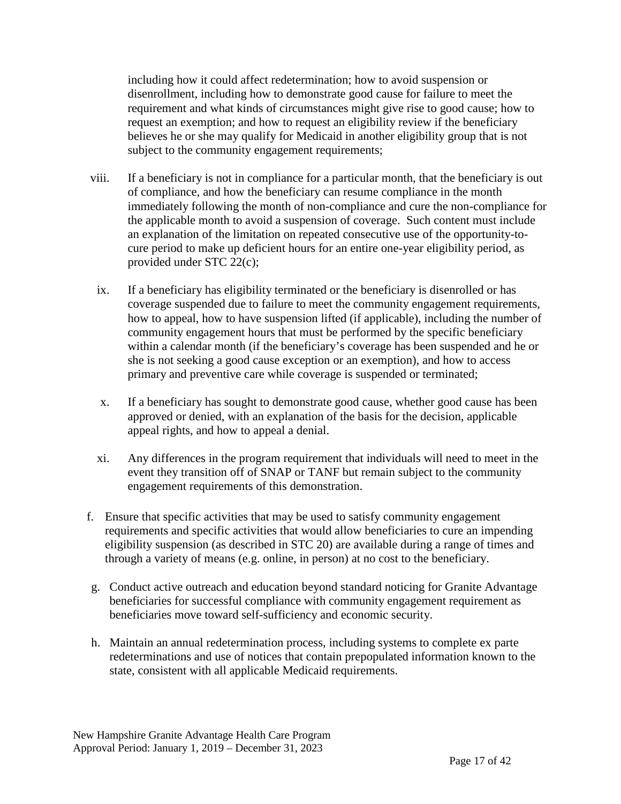including how it could affect redetermination; how to avoid suspension or disenrollment, including how to demonstrate good cause for failure to meet the requirement and what kinds of circumstances might give rise to good cause; how to request an exemption; and how to request an eligibility review if the beneficiary believes he or she may qualify for Medicaid in another eligibility group that is not subject to the community engagement requirements;

- viii. If a beneficiary is not in compliance for a particular month, that the beneficiary is out of compliance, and how the beneficiary can resume compliance in the month immediately following the month of non-compliance and cure the non-compliance for the applicable month to avoid a suspension of coverage. Such content must include an explanation of the limitation on repeated consecutive use of the opportunity-tocure period to make up deficient hours for an entire one-year eligibility period, as provided under STC 22(c);
- ix. If a beneficiary has eligibility terminated or the beneficiary is disenrolled or has coverage suspended due to failure to meet the community engagement requirements, how to appeal, how to have suspension lifted (if applicable), including the number of community engagement hours that must be performed by the specific beneficiary within a calendar month (if the beneficiary's coverage has been suspended and he or she is not seeking a good cause exception or an exemption), and how to access primary and preventive care while coverage is suspended or terminated;
- x. If a beneficiary has sought to demonstrate good cause, whether good cause has been approved or denied, with an explanation of the basis for the decision, applicable appeal rights, and how to appeal a denial.
- xi. Any differences in the program requirement that individuals will need to meet in the event they transition off of SNAP or TANF but remain subject to the community engagement requirements of this demonstration.
- f. Ensure that specific activities that may be used to satisfy community engagement requirements and specific activities that would allow beneficiaries to cure an impending eligibility suspension (as described in STC 20) are available during a range of times and through a variety of means (e.g. online, in person) at no cost to the beneficiary.
- g. Conduct active outreach and education beyond standard noticing for Granite Advantage beneficiaries for successful compliance with community engagement requirement as beneficiaries move toward self-sufficiency and economic security.
- h. Maintain an annual redetermination process, including systems to complete ex parte redeterminations and use of notices that contain prepopulated information known to the state, consistent with all applicable Medicaid requirements.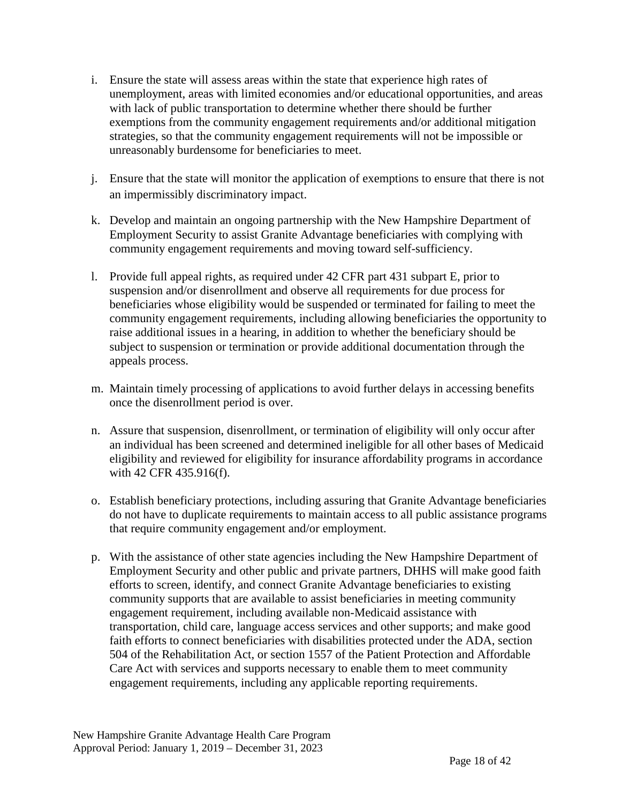- i. Ensure the state will assess areas within the state that experience high rates of unemployment, areas with limited economies and/or educational opportunities, and areas with lack of public transportation to determine whether there should be further exemptions from the community engagement requirements and/or additional mitigation strategies, so that the community engagement requirements will not be impossible or unreasonably burdensome for beneficiaries to meet.
- j. Ensure that the state will monitor the application of exemptions to ensure that there is not an impermissibly discriminatory impact.
- k. Develop and maintain an ongoing partnership with the New Hampshire Department of Employment Security to assist Granite Advantage beneficiaries with complying with community engagement requirements and moving toward self-sufficiency.
- l. Provide full appeal rights, as required under 42 CFR part 431 subpart E, prior to suspension and/or disenrollment and observe all requirements for due process for beneficiaries whose eligibility would be suspended or terminated for failing to meet the community engagement requirements, including allowing beneficiaries the opportunity to raise additional issues in a hearing, in addition to whether the beneficiary should be subject to suspension or termination or provide additional documentation through the appeals process.
- m. Maintain timely processing of applications to avoid further delays in accessing benefits once the disenrollment period is over.
- n. Assure that suspension, disenrollment, or termination of eligibility will only occur after an individual has been screened and determined ineligible for all other bases of Medicaid eligibility and reviewed for eligibility for insurance affordability programs in accordance with 42 CFR 435.916(f).
- o. Establish beneficiary protections, including assuring that Granite Advantage beneficiaries do not have to duplicate requirements to maintain access to all public assistance programs that require community engagement and/or employment.
- p. With the assistance of other state agencies including the New Hampshire Department of Employment Security and other public and private partners, DHHS will make good faith efforts to screen, identify, and connect Granite Advantage beneficiaries to existing community supports that are available to assist beneficiaries in meeting community engagement requirement, including available non-Medicaid assistance with transportation, child care, language access services and other supports; and make good faith efforts to connect beneficiaries with disabilities protected under the ADA, section 504 of the Rehabilitation Act, or section 1557 of the Patient Protection and Affordable Care Act with services and supports necessary to enable them to meet community engagement requirements, including any applicable reporting requirements.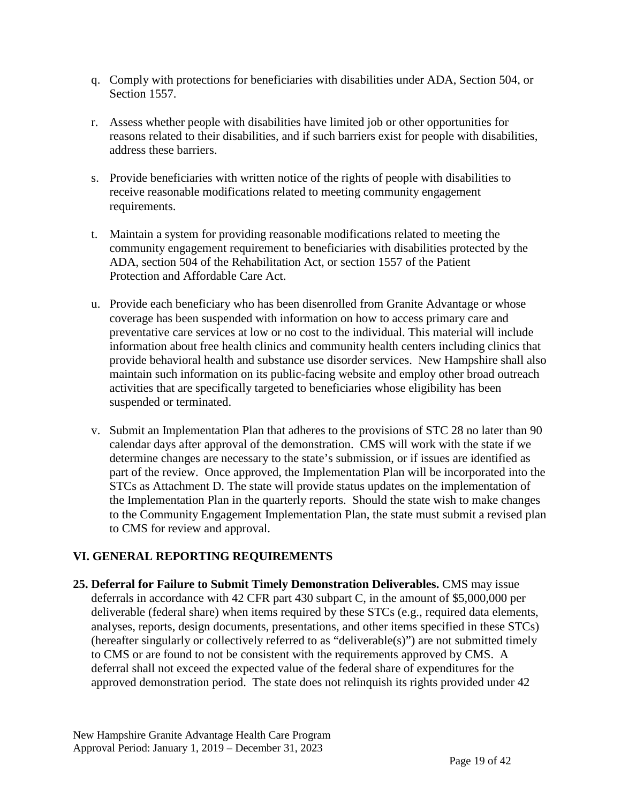- q. Comply with protections for beneficiaries with disabilities under ADA, Section 504, or Section 1557.
- r. Assess whether people with disabilities have limited job or other opportunities for reasons related to their disabilities, and if such barriers exist for people with disabilities, address these barriers.
- s. Provide beneficiaries with written notice of the rights of people with disabilities to receive reasonable modifications related to meeting community engagement requirements.
- t. Maintain a system for providing reasonable modifications related to meeting the community engagement requirement to beneficiaries with disabilities protected by the ADA, section 504 of the Rehabilitation Act, or section 1557 of the Patient Protection and Affordable Care Act.
- u. Provide each beneficiary who has been disenrolled from Granite Advantage or whose coverage has been suspended with information on how to access primary care and preventative care services at low or no cost to the individual. This material will include information about free health clinics and community health centers including clinics that provide behavioral health and substance use disorder services. New Hampshire shall also maintain such information on its public-facing website and employ other broad outreach activities that are specifically targeted to beneficiaries whose eligibility has been suspended or terminated.
- v. Submit an Implementation Plan that adheres to the provisions of STC 28 no later than 90 calendar days after approval of the demonstration. CMS will work with the state if we determine changes are necessary to the state's submission, or if issues are identified as part of the review. Once approved, the Implementation Plan will be incorporated into the STCs as Attachment D. The state will provide status updates on the implementation of the Implementation Plan in the quarterly reports. Should the state wish to make changes to the Community Engagement Implementation Plan, the state must submit a revised plan to CMS for review and approval.

#### **VI. GENERAL REPORTING REQUIREMENTS**

**25. Deferral for Failure to Submit Timely Demonstration Deliverables.** CMS may issue deferrals in accordance with 42 CFR part 430 subpart C, in the amount of \$5,000,000 per deliverable (federal share) when items required by these STCs (e.g., required data elements, analyses, reports, design documents, presentations, and other items specified in these STCs) (hereafter singularly or collectively referred to as "deliverable(s)") are not submitted timely to CMS or are found to not be consistent with the requirements approved by CMS. A deferral shall not exceed the expected value of the federal share of expenditures for the approved demonstration period. The state does not relinquish its rights provided under 42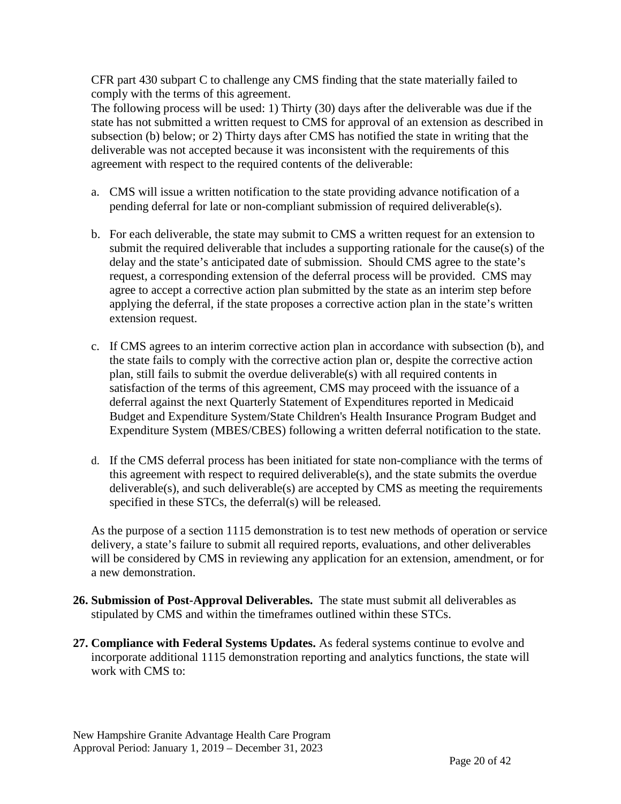CFR part 430 subpart C to challenge any CMS finding that the state materially failed to comply with the terms of this agreement.

The following process will be used: 1) Thirty (30) days after the deliverable was due if the state has not submitted a written request to CMS for approval of an extension as described in subsection (b) below; or 2) Thirty days after CMS has notified the state in writing that the deliverable was not accepted because it was inconsistent with the requirements of this agreement with respect to the required contents of the deliverable:

- a. CMS will issue a written notification to the state providing advance notification of a pending deferral for late or non-compliant submission of required deliverable(s).
- b. For each deliverable, the state may submit to CMS a written request for an extension to submit the required deliverable that includes a supporting rationale for the cause(s) of the delay and the state's anticipated date of submission. Should CMS agree to the state's request, a corresponding extension of the deferral process will be provided. CMS may agree to accept a corrective action plan submitted by the state as an interim step before applying the deferral, if the state proposes a corrective action plan in the state's written extension request.
- c. If CMS agrees to an interim corrective action plan in accordance with subsection (b), and the state fails to comply with the corrective action plan or, despite the corrective action plan, still fails to submit the overdue deliverable(s) with all required contents in satisfaction of the terms of this agreement, CMS may proceed with the issuance of a deferral against the next Quarterly Statement of Expenditures reported in Medicaid Budget and Expenditure System/State Children's Health Insurance Program Budget and Expenditure System (MBES/CBES) following a written deferral notification to the state.
- d. If the CMS deferral process has been initiated for state non-compliance with the terms of this agreement with respect to required deliverable(s), and the state submits the overdue deliverable(s), and such deliverable(s) are accepted by CMS as meeting the requirements specified in these STCs, the deferral(s) will be released.

As the purpose of a section 1115 demonstration is to test new methods of operation or service delivery, a state's failure to submit all required reports, evaluations, and other deliverables will be considered by CMS in reviewing any application for an extension, amendment, or for a new demonstration.

- **26. Submission of Post-Approval Deliverables.** The state must submit all deliverables as stipulated by CMS and within the timeframes outlined within these STCs.
- **27. Compliance with Federal Systems Updates.** As federal systems continue to evolve and incorporate additional 1115 demonstration reporting and analytics functions, the state will work with CMS to: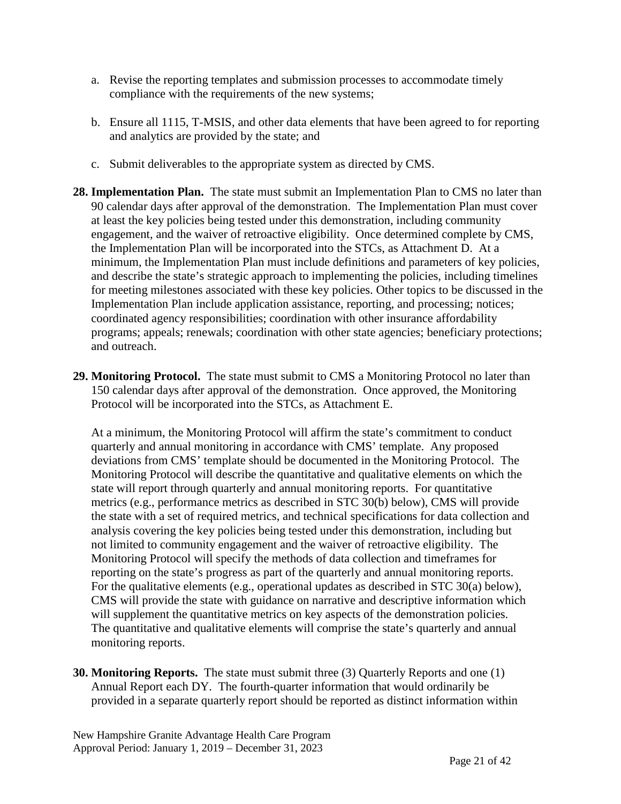- a. Revise the reporting templates and submission processes to accommodate timely compliance with the requirements of the new systems;
- b. Ensure all 1115, T-MSIS, and other data elements that have been agreed to for reporting and analytics are provided by the state; and
- c. Submit deliverables to the appropriate system as directed by CMS.
- **28. Implementation Plan.** The state must submit an Implementation Plan to CMS no later than 90 calendar days after approval of the demonstration. The Implementation Plan must cover at least the key policies being tested under this demonstration, including community engagement, and the waiver of retroactive eligibility. Once determined complete by CMS, the Implementation Plan will be incorporated into the STCs, as Attachment D. At a minimum, the Implementation Plan must include definitions and parameters of key policies, and describe the state's strategic approach to implementing the policies, including timelines for meeting milestones associated with these key policies. Other topics to be discussed in the Implementation Plan include application assistance, reporting, and processing; notices; coordinated agency responsibilities; coordination with other insurance affordability programs; appeals; renewals; coordination with other state agencies; beneficiary protections; and outreach.
- **29. Monitoring Protocol.** The state must submit to CMS a Monitoring Protocol no later than 150 calendar days after approval of the demonstration. Once approved, the Monitoring Protocol will be incorporated into the STCs, as Attachment E.

At a minimum, the Monitoring Protocol will affirm the state's commitment to conduct quarterly and annual monitoring in accordance with CMS' template. Any proposed deviations from CMS' template should be documented in the Monitoring Protocol. The Monitoring Protocol will describe the quantitative and qualitative elements on which the state will report through quarterly and annual monitoring reports. For quantitative metrics (e.g., performance metrics as described in STC 30(b) below), CMS will provide the state with a set of required metrics, and technical specifications for data collection and analysis covering the key policies being tested under this demonstration, including but not limited to community engagement and the waiver of retroactive eligibility. The Monitoring Protocol will specify the methods of data collection and timeframes for reporting on the state's progress as part of the quarterly and annual monitoring reports. For the qualitative elements (e.g., operational updates as described in STC 30(a) below), CMS will provide the state with guidance on narrative and descriptive information which will supplement the quantitative metrics on key aspects of the demonstration policies. The quantitative and qualitative elements will comprise the state's quarterly and annual monitoring reports.

**30. Monitoring Reports.** The state must submit three (3) Quarterly Reports and one (1) Annual Report each DY. The fourth-quarter information that would ordinarily be provided in a separate quarterly report should be reported as distinct information within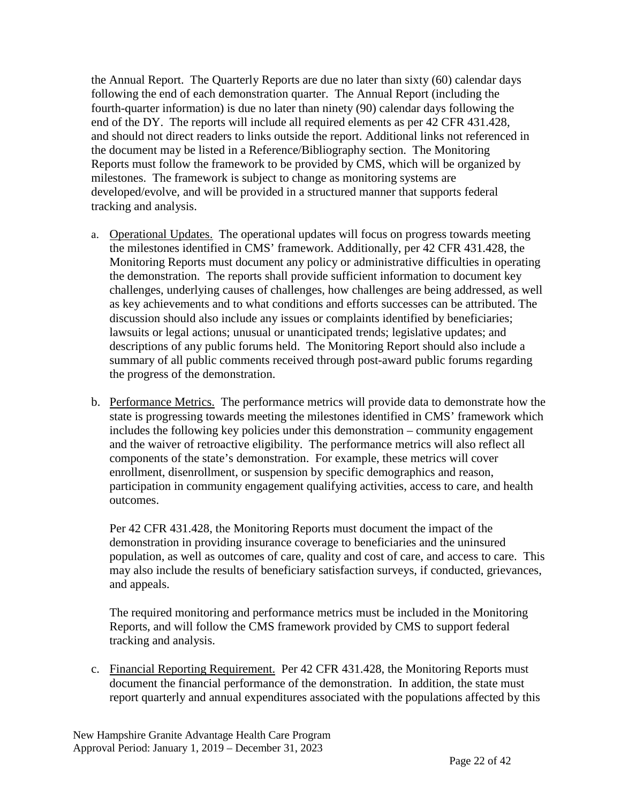the Annual Report. The Quarterly Reports are due no later than sixty (60) calendar days following the end of each demonstration quarter. The Annual Report (including the fourth-quarter information) is due no later than ninety (90) calendar days following the end of the DY. The reports will include all required elements as per 42 CFR 431.428, and should not direct readers to links outside the report. Additional links not referenced in the document may be listed in a Reference/Bibliography section. The Monitoring Reports must follow the framework to be provided by CMS, which will be organized by milestones. The framework is subject to change as monitoring systems are developed/evolve, and will be provided in a structured manner that supports federal tracking and analysis.

- a. Operational Updates. The operational updates will focus on progress towards meeting the milestones identified in CMS' framework. Additionally, per 42 CFR 431.428, the Monitoring Reports must document any policy or administrative difficulties in operating the demonstration. The reports shall provide sufficient information to document key challenges, underlying causes of challenges, how challenges are being addressed, as well as key achievements and to what conditions and efforts successes can be attributed. The discussion should also include any issues or complaints identified by beneficiaries; lawsuits or legal actions; unusual or unanticipated trends; legislative updates; and descriptions of any public forums held. The Monitoring Report should also include a summary of all public comments received through post-award public forums regarding the progress of the demonstration.
- b. Performance Metrics. The performance metrics will provide data to demonstrate how the state is progressing towards meeting the milestones identified in CMS' framework which includes the following key policies under this demonstration – community engagement and the waiver of retroactive eligibility. The performance metrics will also reflect all components of the state's demonstration. For example, these metrics will cover enrollment, disenrollment, or suspension by specific demographics and reason, participation in community engagement qualifying activities, access to care, and health outcomes.

Per 42 CFR 431.428, the Monitoring Reports must document the impact of the demonstration in providing insurance coverage to beneficiaries and the uninsured population, as well as outcomes of care, quality and cost of care, and access to care. This may also include the results of beneficiary satisfaction surveys, if conducted, grievances, and appeals.

The required monitoring and performance metrics must be included in the Monitoring Reports, and will follow the CMS framework provided by CMS to support federal tracking and analysis.

c. Financial Reporting Requirement. Per 42 CFR 431.428, the Monitoring Reports must document the financial performance of the demonstration. In addition, the state must report quarterly and annual expenditures associated with the populations affected by this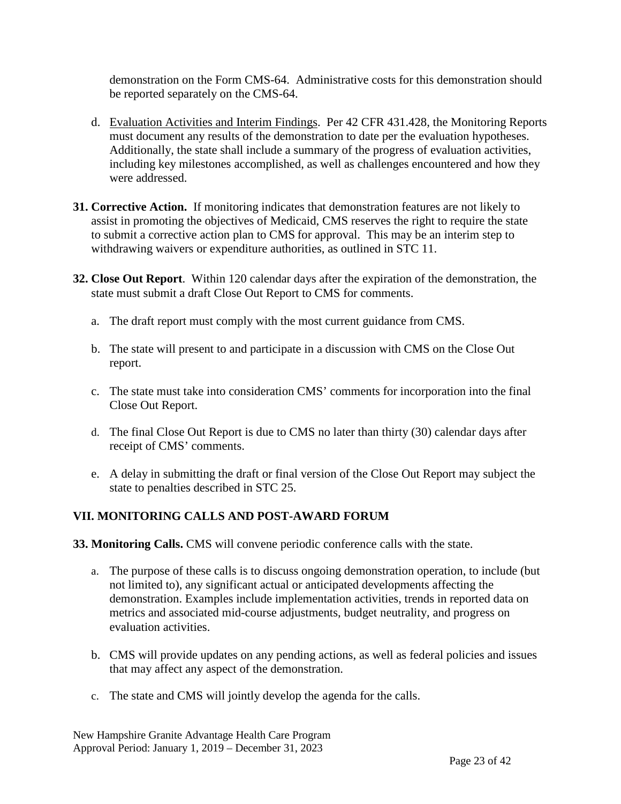demonstration on the Form CMS-64. Administrative costs for this demonstration should be reported separately on the CMS-64.

- d. Evaluation Activities and Interim Findings. Per 42 CFR 431.428, the Monitoring Reports must document any results of the demonstration to date per the evaluation hypotheses. Additionally, the state shall include a summary of the progress of evaluation activities, including key milestones accomplished, as well as challenges encountered and how they were addressed.
- **31. Corrective Action.** If monitoring indicates that demonstration features are not likely to assist in promoting the objectives of Medicaid, CMS reserves the right to require the state to submit a corrective action plan to CMS for approval. This may be an interim step to withdrawing waivers or expenditure authorities, as outlined in STC 11.
- **32. Close Out Report**. Within 120 calendar days after the expiration of the demonstration, the state must submit a draft Close Out Report to CMS for comments.
	- a. The draft report must comply with the most current guidance from CMS.
	- b. The state will present to and participate in a discussion with CMS on the Close Out report.
	- c. The state must take into consideration CMS' comments for incorporation into the final Close Out Report.
	- d. The final Close Out Report is due to CMS no later than thirty (30) calendar days after receipt of CMS' comments.
	- e. A delay in submitting the draft or final version of the Close Out Report may subject the state to penalties described in STC 25.

#### **VII. MONITORING CALLS AND POST-AWARD FORUM**

**33. Monitoring Calls.** CMS will convene periodic conference calls with the state.

- a. The purpose of these calls is to discuss ongoing demonstration operation, to include (but not limited to), any significant actual or anticipated developments affecting the demonstration. Examples include implementation activities, trends in reported data on metrics and associated mid-course adjustments, budget neutrality, and progress on evaluation activities.
- b. CMS will provide updates on any pending actions, as well as federal policies and issues that may affect any aspect of the demonstration.
- c. The state and CMS will jointly develop the agenda for the calls.

New Hampshire Granite Advantage Health Care Program Approval Period: January 1, 2019 – December 31, 2023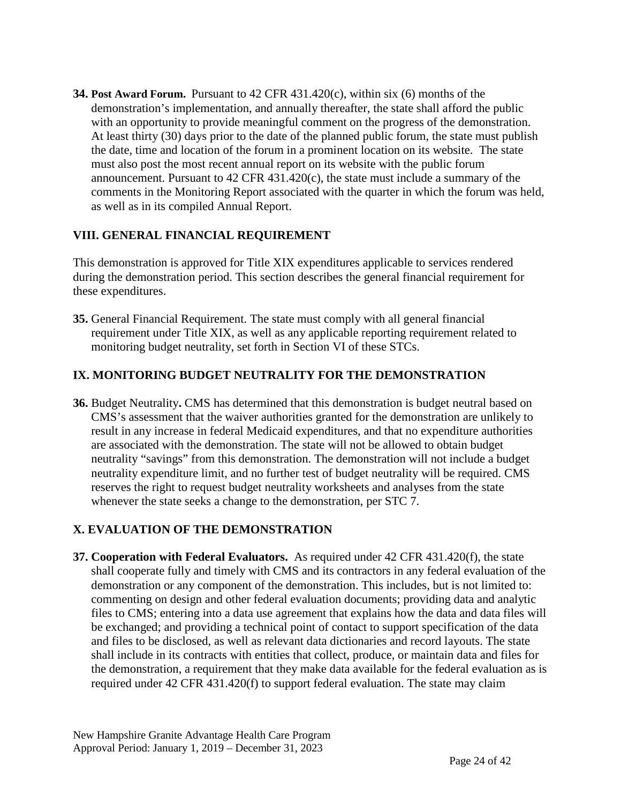**34. Post Award Forum.** Pursuant to 42 CFR 431.420(c), within six (6) months of the demonstration's implementation, and annually thereafter, the state shall afford the public with an opportunity to provide meaningful comment on the progress of the demonstration. At least thirty (30) days prior to the date of the planned public forum, the state must publish the date, time and location of the forum in a prominent location on its website. The state must also post the most recent annual report on its website with the public forum announcement. Pursuant to 42 CFR 431.420(c), the state must include a summary of the comments in the Monitoring Report associated with the quarter in which the forum was held, as well as in its compiled Annual Report.

#### **VIII. GENERAL FINANCIAL REQUIREMENT**

This demonstration is approved for Title XIX expenditures applicable to services rendered during the demonstration period. This section describes the general financial requirement for these expenditures.

**35.** General Financial Requirement. The state must comply with all general financial requirement under Title XIX, as well as any applicable reporting requirement related to monitoring budget neutrality, set forth in Section VI of these STCs.

#### **IX. MONITORING BUDGET NEUTRALITY FOR THE DEMONSTRATION**

**36.** Budget Neutrality**.** CMS has determined that this demonstration is budget neutral based on CMS's assessment that the waiver authorities granted for the demonstration are unlikely to result in any increase in federal Medicaid expenditures, and that no expenditure authorities are associated with the demonstration. The state will not be allowed to obtain budget neutrality "savings" from this demonstration. The demonstration will not include a budget neutrality expenditure limit, and no further test of budget neutrality will be required. CMS reserves the right to request budget neutrality worksheets and analyses from the state whenever the state seeks a change to the demonstration, per STC 7.

#### **X. EVALUATION OF THE DEMONSTRATION**

**37. Cooperation with Federal Evaluators.** As required under 42 CFR 431.420(f), the state shall cooperate fully and timely with CMS and its contractors in any federal evaluation of the demonstration or any component of the demonstration. This includes, but is not limited to: commenting on design and other federal evaluation documents; providing data and analytic files to CMS; entering into a data use agreement that explains how the data and data files will be exchanged; and providing a technical point of contact to support specification of the data and files to be disclosed, as well as relevant data dictionaries and record layouts. The state shall include in its contracts with entities that collect, produce, or maintain data and files for the demonstration, a requirement that they make data available for the federal evaluation as is required under 42 CFR 431.420(f) to support federal evaluation. The state may claim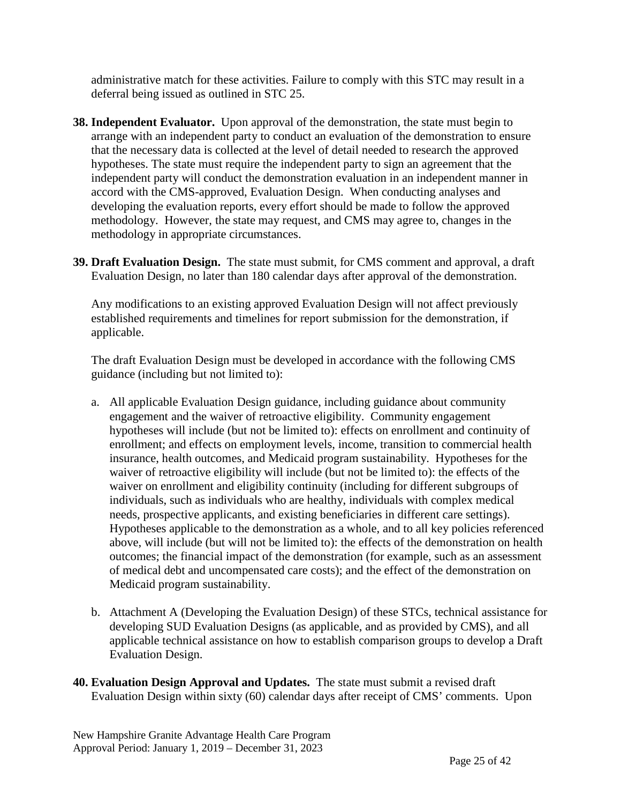administrative match for these activities. Failure to comply with this STC may result in a deferral being issued as outlined in STC 25.

- **38. Independent Evaluator.** Upon approval of the demonstration, the state must begin to arrange with an independent party to conduct an evaluation of the demonstration to ensure that the necessary data is collected at the level of detail needed to research the approved hypotheses. The state must require the independent party to sign an agreement that the independent party will conduct the demonstration evaluation in an independent manner in accord with the CMS-approved, Evaluation Design. When conducting analyses and developing the evaluation reports, every effort should be made to follow the approved methodology. However, the state may request, and CMS may agree to, changes in the methodology in appropriate circumstances.
- **39. Draft Evaluation Design.** The state must submit, for CMS comment and approval, a draft Evaluation Design, no later than 180 calendar days after approval of the demonstration.

Any modifications to an existing approved Evaluation Design will not affect previously established requirements and timelines for report submission for the demonstration, if applicable.

The draft Evaluation Design must be developed in accordance with the following CMS guidance (including but not limited to):

- a. All applicable Evaluation Design guidance, including guidance about community engagement and the waiver of retroactive eligibility. Community engagement hypotheses will include (but not be limited to): effects on enrollment and continuity of enrollment; and effects on employment levels, income, transition to commercial health insurance, health outcomes, and Medicaid program sustainability. Hypotheses for the waiver of retroactive eligibility will include (but not be limited to): the effects of the waiver on enrollment and eligibility continuity (including for different subgroups of individuals, such as individuals who are healthy, individuals with complex medical needs, prospective applicants, and existing beneficiaries in different care settings). Hypotheses applicable to the demonstration as a whole, and to all key policies referenced above, will include (but will not be limited to): the effects of the demonstration on health outcomes; the financial impact of the demonstration (for example, such as an assessment of medical debt and uncompensated care costs); and the effect of the demonstration on Medicaid program sustainability.
- b. Attachment A (Developing the Evaluation Design) of these STCs, technical assistance for developing SUD Evaluation Designs (as applicable, and as provided by CMS), and all applicable technical assistance on how to establish comparison groups to develop a Draft Evaluation Design.
- **40. Evaluation Design Approval and Updates.** The state must submit a revised draft Evaluation Design within sixty (60) calendar days after receipt of CMS' comments. Upon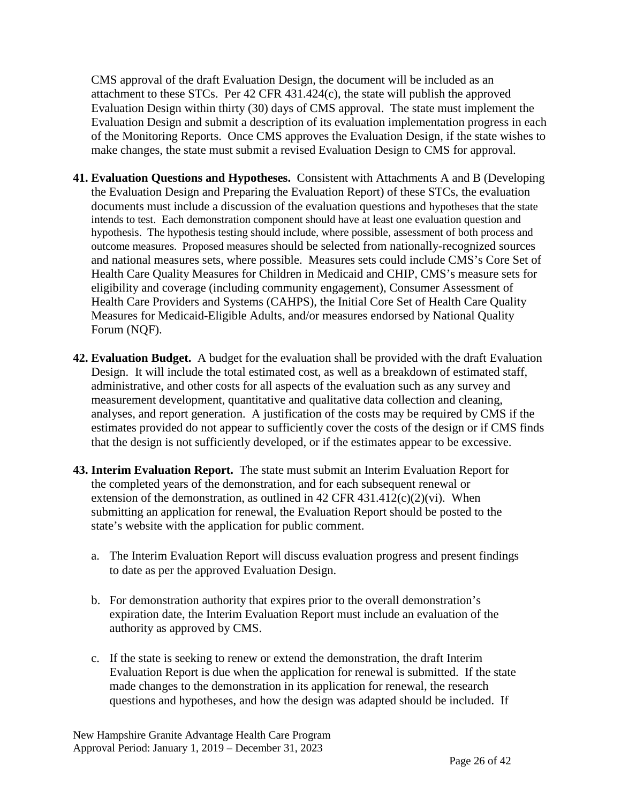CMS approval of the draft Evaluation Design, the document will be included as an attachment to these STCs. Per 42 CFR 431.424(c), the state will publish the approved Evaluation Design within thirty (30) days of CMS approval. The state must implement the Evaluation Design and submit a description of its evaluation implementation progress in each of the Monitoring Reports. Once CMS approves the Evaluation Design, if the state wishes to make changes, the state must submit a revised Evaluation Design to CMS for approval.

- **41. Evaluation Questions and Hypotheses.** Consistent with Attachments A and B (Developing the Evaluation Design and Preparing the Evaluation Report) of these STCs, the evaluation documents must include a discussion of the evaluation questions and hypotheses that the state intends to test. Each demonstration component should have at least one evaluation question and hypothesis. The hypothesis testing should include, where possible, assessment of both process and outcome measures. Proposed measures should be selected from nationally-recognized sources and national measures sets, where possible. Measures sets could include CMS's Core Set of Health Care Quality Measures for Children in Medicaid and CHIP, CMS's measure sets for eligibility and coverage (including community engagement), Consumer Assessment of Health Care Providers and Systems (CAHPS), the Initial Core Set of Health Care Quality Measures for Medicaid-Eligible Adults, and/or measures endorsed by National Quality Forum (NQF).
- **42. Evaluation Budget.** A budget for the evaluation shall be provided with the draft Evaluation Design. It will include the total estimated cost, as well as a breakdown of estimated staff, administrative, and other costs for all aspects of the evaluation such as any survey and measurement development, quantitative and qualitative data collection and cleaning, analyses, and report generation. A justification of the costs may be required by CMS if the estimates provided do not appear to sufficiently cover the costs of the design or if CMS finds that the design is not sufficiently developed, or if the estimates appear to be excessive.
- **43. Interim Evaluation Report.** The state must submit an Interim Evaluation Report for the completed years of the demonstration, and for each subsequent renewal or extension of the demonstration, as outlined in 42 CFR 431.412(c)(2)(vi). When submitting an application for renewal, the Evaluation Report should be posted to the state's website with the application for public comment.
	- a. The Interim Evaluation Report will discuss evaluation progress and present findings to date as per the approved Evaluation Design.
	- b. For demonstration authority that expires prior to the overall demonstration's expiration date, the Interim Evaluation Report must include an evaluation of the authority as approved by CMS.
	- c. If the state is seeking to renew or extend the demonstration, the draft Interim Evaluation Report is due when the application for renewal is submitted. If the state made changes to the demonstration in its application for renewal, the research questions and hypotheses, and how the design was adapted should be included. If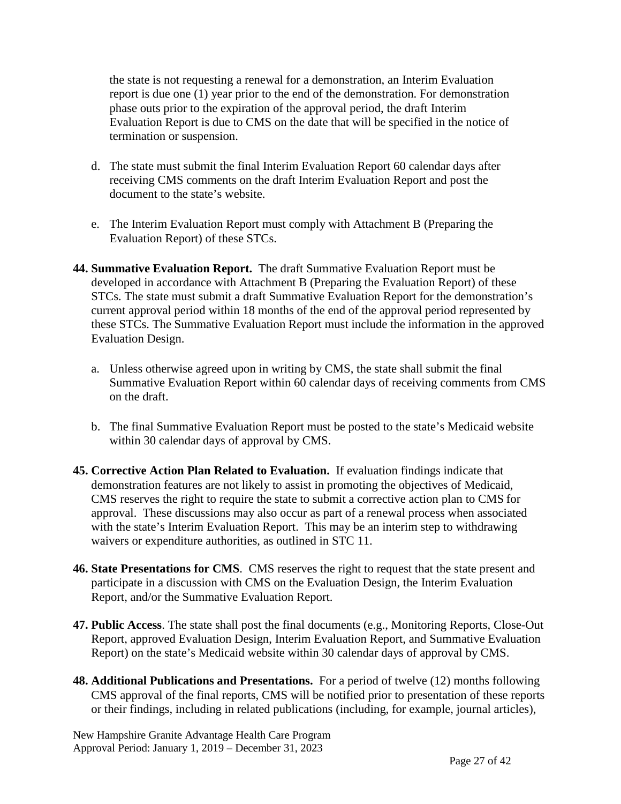the state is not requesting a renewal for a demonstration, an Interim Evaluation report is due one (1) year prior to the end of the demonstration. For demonstration phase outs prior to the expiration of the approval period, the draft Interim Evaluation Report is due to CMS on the date that will be specified in the notice of termination or suspension.

- d. The state must submit the final Interim Evaluation Report 60 calendar days after receiving CMS comments on the draft Interim Evaluation Report and post the document to the state's website.
- e. The Interim Evaluation Report must comply with Attachment B (Preparing the Evaluation Report) of these STCs.
- **44. Summative Evaluation Report.** The draft Summative Evaluation Report must be developed in accordance with Attachment B (Preparing the Evaluation Report) of these STCs. The state must submit a draft Summative Evaluation Report for the demonstration's current approval period within 18 months of the end of the approval period represented by these STCs. The Summative Evaluation Report must include the information in the approved Evaluation Design.
	- a. Unless otherwise agreed upon in writing by CMS, the state shall submit the final Summative Evaluation Report within 60 calendar days of receiving comments from CMS on the draft.
	- b. The final Summative Evaluation Report must be posted to the state's Medicaid website within 30 calendar days of approval by CMS.
- **45. Corrective Action Plan Related to Evaluation.** If evaluation findings indicate that demonstration features are not likely to assist in promoting the objectives of Medicaid, CMS reserves the right to require the state to submit a corrective action plan to CMS for approval. These discussions may also occur as part of a renewal process when associated with the state's Interim Evaluation Report. This may be an interim step to withdrawing waivers or expenditure authorities, as outlined in STC 11.
- **46. State Presentations for CMS**. CMS reserves the right to request that the state present and participate in a discussion with CMS on the Evaluation Design, the Interim Evaluation Report, and/or the Summative Evaluation Report.
- **47. Public Access**. The state shall post the final documents (e.g., Monitoring Reports, Close-Out Report, approved Evaluation Design, Interim Evaluation Report, and Summative Evaluation Report) on the state's Medicaid website within 30 calendar days of approval by CMS.
- **48. Additional Publications and Presentations.** For a period of twelve (12) months following CMS approval of the final reports, CMS will be notified prior to presentation of these reports or their findings, including in related publications (including, for example, journal articles),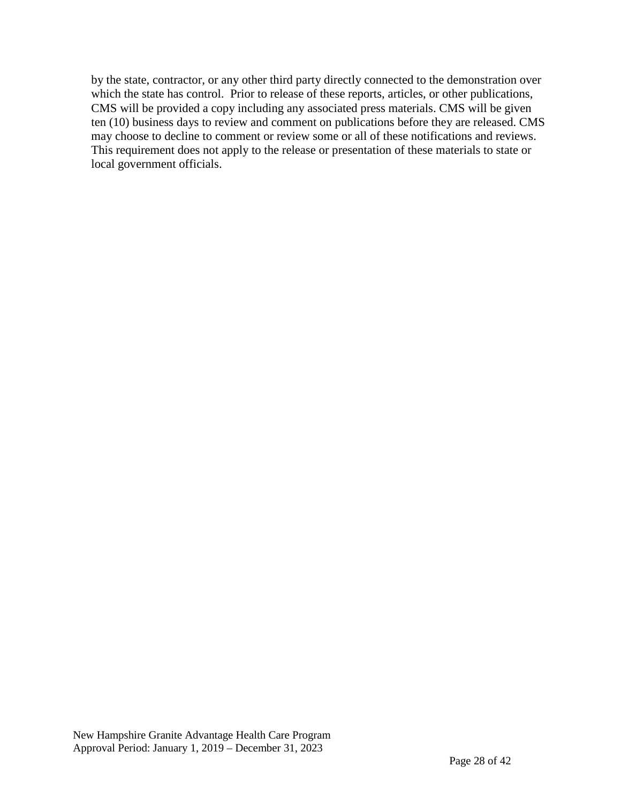by the state, contractor, or any other third party directly connected to the demonstration over which the state has control. Prior to release of these reports, articles, or other publications, CMS will be provided a copy including any associated press materials. CMS will be given ten (10) business days to review and comment on publications before they are released. CMS may choose to decline to comment or review some or all of these notifications and reviews. This requirement does not apply to the release or presentation of these materials to state or local government officials.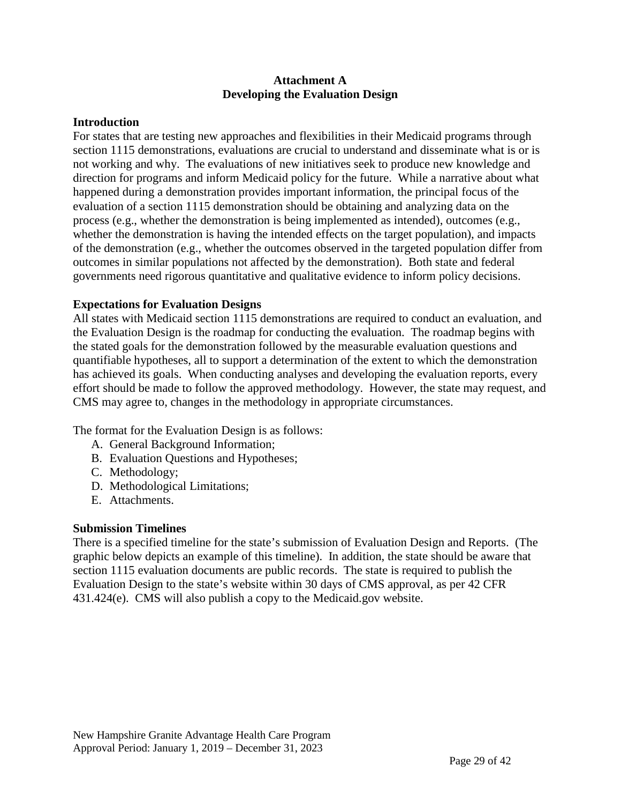#### **Attachment A Developing the Evaluation Design**

#### **Introduction**

For states that are testing new approaches and flexibilities in their Medicaid programs through section 1115 demonstrations, evaluations are crucial to understand and disseminate what is or is not working and why. The evaluations of new initiatives seek to produce new knowledge and direction for programs and inform Medicaid policy for the future. While a narrative about what happened during a demonstration provides important information, the principal focus of the evaluation of a section 1115 demonstration should be obtaining and analyzing data on the process (e.g., whether the demonstration is being implemented as intended), outcomes (e.g., whether the demonstration is having the intended effects on the target population), and impacts of the demonstration (e.g., whether the outcomes observed in the targeted population differ from outcomes in similar populations not affected by the demonstration). Both state and federal governments need rigorous quantitative and qualitative evidence to inform policy decisions.

#### **Expectations for Evaluation Designs**

All states with Medicaid section 1115 demonstrations are required to conduct an evaluation, and the Evaluation Design is the roadmap for conducting the evaluation. The roadmap begins with the stated goals for the demonstration followed by the measurable evaluation questions and quantifiable hypotheses, all to support a determination of the extent to which the demonstration has achieved its goals. When conducting analyses and developing the evaluation reports, every effort should be made to follow the approved methodology. However, the state may request, and CMS may agree to, changes in the methodology in appropriate circumstances.

The format for the Evaluation Design is as follows:

- A. General Background Information;
- B. Evaluation Questions and Hypotheses;
- C. Methodology;
- D. Methodological Limitations;
- E. Attachments.

#### **Submission Timelines**

There is a specified timeline for the state's submission of Evaluation Design and Reports. (The graphic below depicts an example of this timeline). In addition, the state should be aware that section 1115 evaluation documents are public records. The state is required to publish the Evaluation Design to the state's website within 30 days of CMS approval, as per 42 CFR 431.424(e). CMS will also publish a copy to the Medicaid.gov website.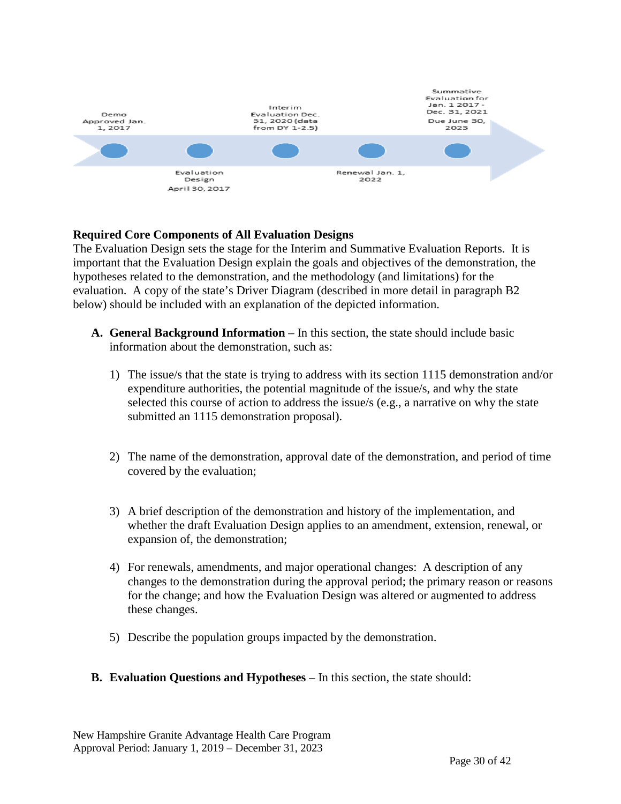

#### **Required Core Components of All Evaluation Designs**

The Evaluation Design sets the stage for the Interim and Summative Evaluation Reports. It is important that the Evaluation Design explain the goals and objectives of the demonstration, the hypotheses related to the demonstration, and the methodology (and limitations) for the evaluation. A copy of the state's Driver Diagram (described in more detail in paragraph B2 below) should be included with an explanation of the depicted information.

- **A.** General Background Information In this section, the state should include basic information about the demonstration, such as:
	- 1) The issue/s that the state is trying to address with its section 1115 demonstration and/or expenditure authorities, the potential magnitude of the issue/s, and why the state selected this course of action to address the issue/s (e.g., a narrative on why the state submitted an 1115 demonstration proposal).
	- 2) The name of the demonstration, approval date of the demonstration, and period of time covered by the evaluation;
	- 3) A brief description of the demonstration and history of the implementation, and whether the draft Evaluation Design applies to an amendment, extension, renewal, or expansion of, the demonstration;
	- 4) For renewals, amendments, and major operational changes: A description of any changes to the demonstration during the approval period; the primary reason or reasons for the change; and how the Evaluation Design was altered or augmented to address these changes.
	- 5) Describe the population groups impacted by the demonstration.

#### **B. Evaluation Questions and Hypotheses** – In this section, the state should: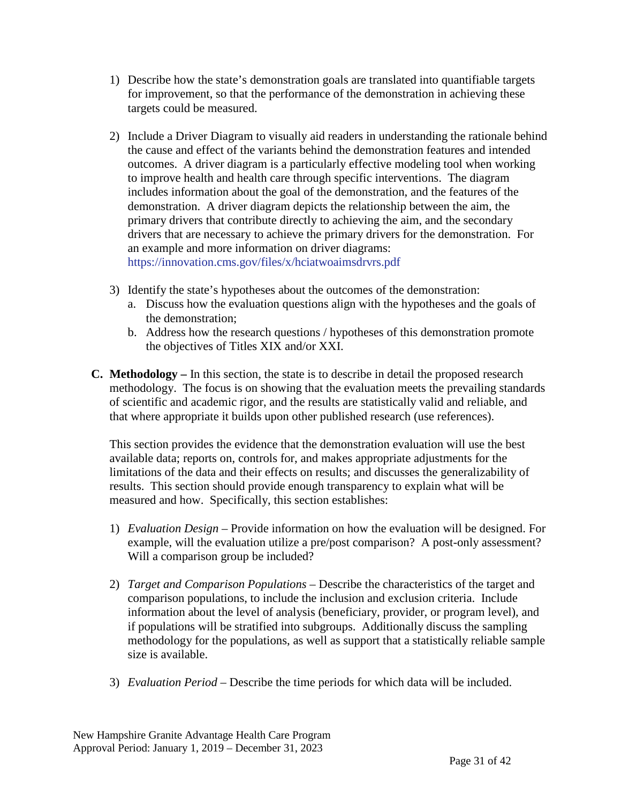- 1) Describe how the state's demonstration goals are translated into quantifiable targets for improvement, so that the performance of the demonstration in achieving these targets could be measured.
- 2) Include a Driver Diagram to visually aid readers in understanding the rationale behind the cause and effect of the variants behind the demonstration features and intended outcomes. A driver diagram is a particularly effective modeling tool when working to improve health and health care through specific interventions. The diagram includes information about the goal of the demonstration, and the features of the demonstration. A driver diagram depicts the relationship between the aim, the primary drivers that contribute directly to achieving the aim, and the secondary drivers that are necessary to achieve the primary drivers for the demonstration. For an example and more information on driver diagrams: <https://innovation.cms.gov/files/x/hciatwoaimsdrvrs.pdf>
- 3) Identify the state's hypotheses about the outcomes of the demonstration:
	- a. Discuss how the evaluation questions align with the hypotheses and the goals of the demonstration;
	- b. Address how the research questions / hypotheses of this demonstration promote the objectives of Titles XIX and/or XXI.
- **C. Methodology –** In this section, the state is to describe in detail the proposed research methodology. The focus is on showing that the evaluation meets the prevailing standards of scientific and academic rigor, and the results are statistically valid and reliable, and that where appropriate it builds upon other published research (use references).

This section provides the evidence that the demonstration evaluation will use the best available data; reports on, controls for, and makes appropriate adjustments for the limitations of the data and their effects on results; and discusses the generalizability of results. This section should provide enough transparency to explain what will be measured and how. Specifically, this section establishes:

- 1) *Evaluation Design –* Provide information on how the evaluation will be designed. For example, will the evaluation utilize a pre/post comparison? A post-only assessment? Will a comparison group be included?
- 2) *Target and Comparison Populations* Describe the characteristics of the target and comparison populations, to include the inclusion and exclusion criteria. Include information about the level of analysis (beneficiary, provider, or program level), and if populations will be stratified into subgroups. Additionally discuss the sampling methodology for the populations, as well as support that a statistically reliable sample size is available.
- 3) *Evaluation Period –* Describe the time periods for which data will be included.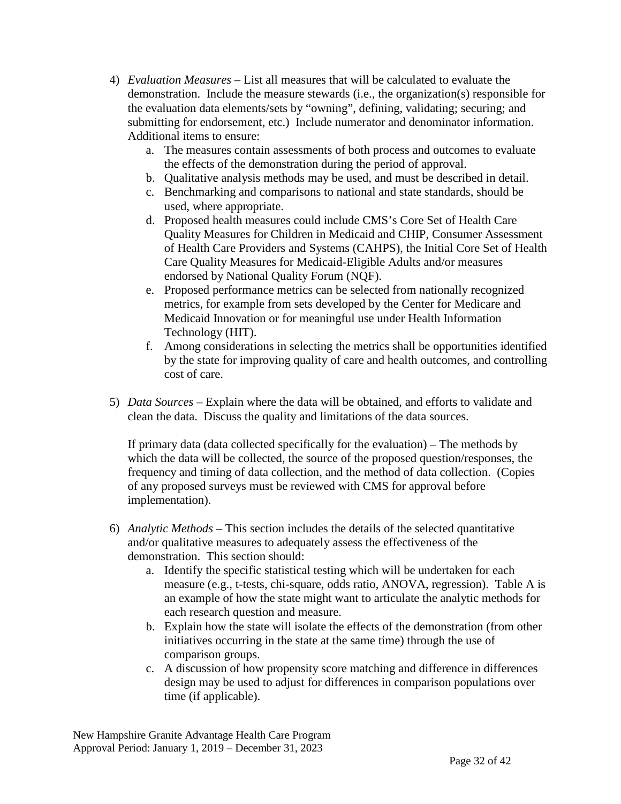- 4) *Evaluation Measures –* List all measures that will be calculated to evaluate the demonstration. Include the measure stewards (i.e., the organization(s) responsible for the evaluation data elements/sets by "owning", defining, validating; securing; and submitting for endorsement, etc.) Include numerator and denominator information. Additional items to ensure:
	- a. The measures contain assessments of both process and outcomes to evaluate the effects of the demonstration during the period of approval.
	- b. Qualitative analysis methods may be used, and must be described in detail.
	- c. Benchmarking and comparisons to national and state standards, should be used, where appropriate.
	- d. Proposed health measures could include CMS's Core Set of Health Care Quality Measures for Children in Medicaid and CHIP, Consumer Assessment of Health Care Providers and Systems (CAHPS), the Initial Core Set of Health Care Quality Measures for Medicaid-Eligible Adults and/or measures endorsed by National Quality Forum (NQF).
	- e. Proposed performance metrics can be selected from nationally recognized metrics, for example from sets developed by the Center for Medicare and Medicaid Innovation or for meaningful use under Health Information Technology (HIT).
	- f. Among considerations in selecting the metrics shall be opportunities identified by the state for improving quality of care and health outcomes, and controlling cost of care.
- 5) *Data Sources –* Explain where the data will be obtained, and efforts to validate and clean the data. Discuss the quality and limitations of the data sources.

If primary data (data collected specifically for the evaluation) – The methods by which the data will be collected, the source of the proposed question/responses, the frequency and timing of data collection, and the method of data collection. (Copies of any proposed surveys must be reviewed with CMS for approval before implementation).

- 6) *Analytic Methods –* This section includes the details of the selected quantitative and/or qualitative measures to adequately assess the effectiveness of the demonstration. This section should:
	- a. Identify the specific statistical testing which will be undertaken for each measure (e.g., t-tests, chi-square, odds ratio, ANOVA, regression). Table A is an example of how the state might want to articulate the analytic methods for each research question and measure.
	- b. Explain how the state will isolate the effects of the demonstration (from other initiatives occurring in the state at the same time) through the use of comparison groups.
	- c. A discussion of how propensity score matching and difference in differences design may be used to adjust for differences in comparison populations over time (if applicable).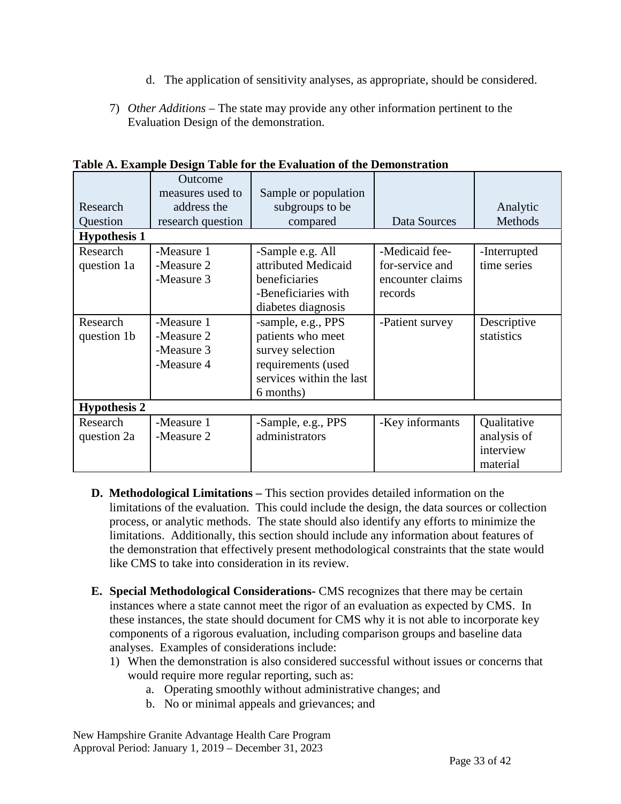- d. The application of sensitivity analyses, as appropriate, should be considered.
- 7) *Other Additions*  The state may provide any other information pertinent to the Evaluation Design of the demonstration.

|                     | <b>Outcome</b><br>measures used to | Sample or population     |                  |              |  |
|---------------------|------------------------------------|--------------------------|------------------|--------------|--|
| Research            | address the                        | subgroups to be          |                  | Analytic     |  |
| Question            | research question                  | compared                 | Data Sources     | Methods      |  |
| <b>Hypothesis 1</b> |                                    |                          |                  |              |  |
| Research            | -Measure 1                         | -Sample e.g. All         | -Medicaid fee-   | -Interrupted |  |
| question 1a         | -Measure 2                         | attributed Medicaid      | for-service and  | time series  |  |
|                     | -Measure 3                         | beneficiaries            | encounter claims |              |  |
|                     |                                    | -Beneficiaries with      | records          |              |  |
|                     |                                    | diabetes diagnosis       |                  |              |  |
| Research            | -Measure 1                         | -sample, e.g., PPS       | -Patient survey  | Descriptive  |  |
| question 1b         | -Measure 2                         | patients who meet        |                  | statistics   |  |
|                     | -Measure 3                         | survey selection         |                  |              |  |
|                     | -Measure 4                         | requirements (used       |                  |              |  |
|                     |                                    | services within the last |                  |              |  |
|                     |                                    | 6 months)                |                  |              |  |
| <b>Hypothesis 2</b> |                                    |                          |                  |              |  |
| Research            | -Measure 1                         | -Sample, e.g., PPS       | -Key informants  | Qualitative  |  |
| question 2a         | -Measure 2                         | administrators           |                  | analysis of  |  |
|                     |                                    |                          |                  | interview    |  |
|                     |                                    |                          |                  | material     |  |

**Table A. Example Design Table for the Evaluation of the Demonstration**

- **D. Methodological Limitations –** This section provides detailed information on the limitations of the evaluation. This could include the design, the data sources or collection process, or analytic methods. The state should also identify any efforts to minimize the limitations. Additionally, this section should include any information about features of the demonstration that effectively present methodological constraints that the state would like CMS to take into consideration in its review.
- **E. Special Methodological Considerations-** CMS recognizes that there may be certain instances where a state cannot meet the rigor of an evaluation as expected by CMS. In these instances, the state should document for CMS why it is not able to incorporate key components of a rigorous evaluation, including comparison groups and baseline data analyses. Examples of considerations include:
	- 1) When the demonstration is also considered successful without issues or concerns that would require more regular reporting, such as:
		- a. Operating smoothly without administrative changes; and
		- b. No or minimal appeals and grievances; and

New Hampshire Granite Advantage Health Care Program Approval Period: January 1, 2019 – December 31, 2023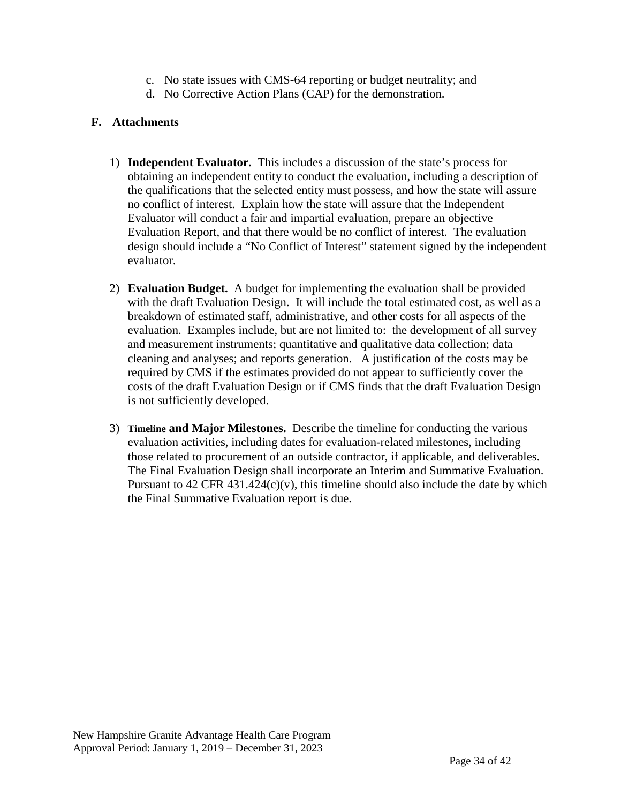- c. No state issues with CMS-64 reporting or budget neutrality; and
- d. No Corrective Action Plans (CAP) for the demonstration.

#### **F. Attachments**

- 1) **Independent Evaluator.** This includes a discussion of the state's process for obtaining an independent entity to conduct the evaluation, including a description of the qualifications that the selected entity must possess, and how the state will assure no conflict of interest. Explain how the state will assure that the Independent Evaluator will conduct a fair and impartial evaluation, prepare an objective Evaluation Report, and that there would be no conflict of interest. The evaluation design should include a "No Conflict of Interest" statement signed by the independent evaluator.
- 2) **Evaluation Budget.** A budget for implementing the evaluation shall be provided with the draft Evaluation Design. It will include the total estimated cost, as well as a breakdown of estimated staff, administrative, and other costs for all aspects of the evaluation. Examples include, but are not limited to: the development of all survey and measurement instruments; quantitative and qualitative data collection; data cleaning and analyses; and reports generation. A justification of the costs may be required by CMS if the estimates provided do not appear to sufficiently cover the costs of the draft Evaluation Design or if CMS finds that the draft Evaluation Design is not sufficiently developed.
- 3) **Timeline and Major Milestones.** Describe the timeline for conducting the various evaluation activities, including dates for evaluation-related milestones, including those related to procurement of an outside contractor, if applicable, and deliverables. The Final Evaluation Design shall incorporate an Interim and Summative Evaluation. Pursuant to  $42$  CFR  $431.424(c)(v)$ , this timeline should also include the date by which the Final Summative Evaluation report is due.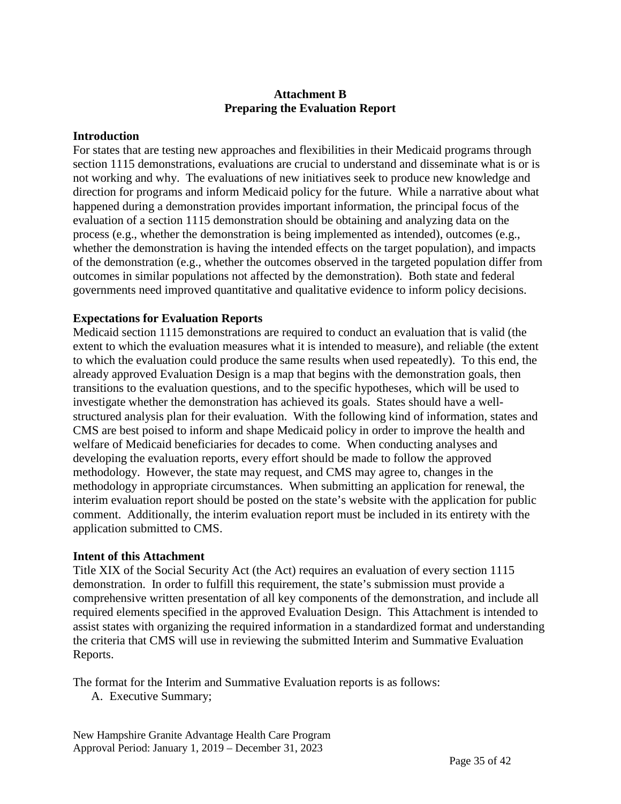#### **Attachment B Preparing the Evaluation Report**

#### **Introduction**

For states that are testing new approaches and flexibilities in their Medicaid programs through section 1115 demonstrations, evaluations are crucial to understand and disseminate what is or is not working and why. The evaluations of new initiatives seek to produce new knowledge and direction for programs and inform Medicaid policy for the future. While a narrative about what happened during a demonstration provides important information, the principal focus of the evaluation of a section 1115 demonstration should be obtaining and analyzing data on the process (e.g., whether the demonstration is being implemented as intended), outcomes (e.g., whether the demonstration is having the intended effects on the target population), and impacts of the demonstration (e.g., whether the outcomes observed in the targeted population differ from outcomes in similar populations not affected by the demonstration). Both state and federal governments need improved quantitative and qualitative evidence to inform policy decisions.

#### **Expectations for Evaluation Reports**

Medicaid section 1115 demonstrations are required to conduct an evaluation that is valid (the extent to which the evaluation measures what it is intended to measure), and reliable (the extent to which the evaluation could produce the same results when used repeatedly). To this end, the already approved Evaluation Design is a map that begins with the demonstration goals, then transitions to the evaluation questions, and to the specific hypotheses, which will be used to investigate whether the demonstration has achieved its goals. States should have a wellstructured analysis plan for their evaluation. With the following kind of information, states and CMS are best poised to inform and shape Medicaid policy in order to improve the health and welfare of Medicaid beneficiaries for decades to come. When conducting analyses and developing the evaluation reports, every effort should be made to follow the approved methodology. However, the state may request, and CMS may agree to, changes in the methodology in appropriate circumstances. When submitting an application for renewal, the interim evaluation report should be posted on the state's website with the application for public comment. Additionally, the interim evaluation report must be included in its entirety with the application submitted to CMS.

#### **Intent of this Attachment**

Title XIX of the Social Security Act (the Act) requires an evaluation of every section 1115 demonstration. In order to fulfill this requirement, the state's submission must provide a comprehensive written presentation of all key components of the demonstration, and include all required elements specified in the approved Evaluation Design. This Attachment is intended to assist states with organizing the required information in a standardized format and understanding the criteria that CMS will use in reviewing the submitted Interim and Summative Evaluation Reports.

The format for the Interim and Summative Evaluation reports is as follows:

A. Executive Summary;

New Hampshire Granite Advantage Health Care Program Approval Period: January 1, 2019 – December 31, 2023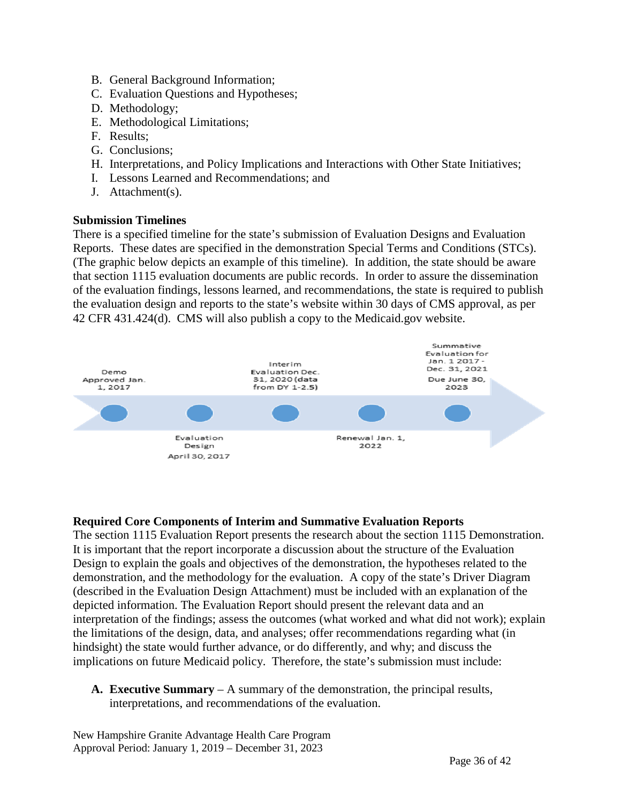- B. General Background Information;
- C. Evaluation Questions and Hypotheses;
- D. Methodology;
- E. Methodological Limitations;
- F. Results;
- G. Conclusions;
- H. Interpretations, and Policy Implications and Interactions with Other State Initiatives;
- I. Lessons Learned and Recommendations; and
- J. Attachment(s).

#### **Submission Timelines**

There is a specified timeline for the state's submission of Evaluation Designs and Evaluation Reports. These dates are specified in the demonstration Special Terms and Conditions (STCs). (The graphic below depicts an example of this timeline). In addition, the state should be aware that section 1115 evaluation documents are public records. In order to assure the dissemination of the evaluation findings, lessons learned, and recommendations, the state is required to publish the evaluation design and reports to the state's website within 30 days of CMS approval, as per 42 CFR 431.424(d). CMS will also publish a copy to the Medicaid.gov website.



#### **Required Core Components of Interim and Summative Evaluation Reports**

The section 1115 Evaluation Report presents the research about the section 1115 Demonstration. It is important that the report incorporate a discussion about the structure of the Evaluation Design to explain the goals and objectives of the demonstration, the hypotheses related to the demonstration, and the methodology for the evaluation. A copy of the state's Driver Diagram (described in the Evaluation Design Attachment) must be included with an explanation of the depicted information. The Evaluation Report should present the relevant data and an interpretation of the findings; assess the outcomes (what worked and what did not work); explain the limitations of the design, data, and analyses; offer recommendations regarding what (in hindsight) the state would further advance, or do differently, and why; and discuss the implications on future Medicaid policy. Therefore, the state's submission must include:

**A. Executive Summary** – A summary of the demonstration, the principal results, interpretations, and recommendations of the evaluation.

New Hampshire Granite Advantage Health Care Program Approval Period: January 1, 2019 – December 31, 2023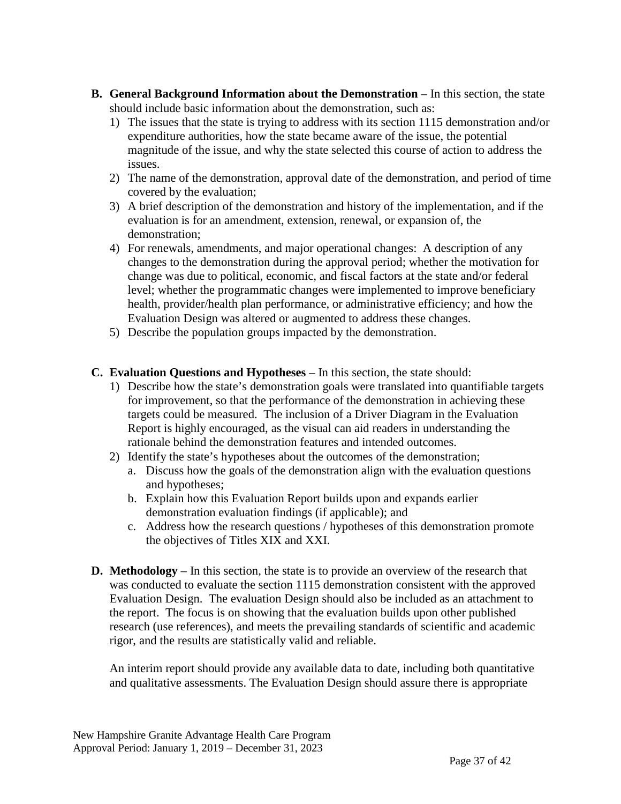- **B. General Background Information about the Demonstration** In this section, the state should include basic information about the demonstration, such as:
	- 1) The issues that the state is trying to address with its section 1115 demonstration and/or expenditure authorities, how the state became aware of the issue, the potential magnitude of the issue, and why the state selected this course of action to address the issues.
	- 2) The name of the demonstration, approval date of the demonstration, and period of time covered by the evaluation;
	- 3) A brief description of the demonstration and history of the implementation, and if the evaluation is for an amendment, extension, renewal, or expansion of, the demonstration;
	- 4) For renewals, amendments, and major operational changes: A description of any changes to the demonstration during the approval period; whether the motivation for change was due to political, economic, and fiscal factors at the state and/or federal level; whether the programmatic changes were implemented to improve beneficiary health, provider/health plan performance, or administrative efficiency; and how the Evaluation Design was altered or augmented to address these changes.
	- 5) Describe the population groups impacted by the demonstration.
- **C. Evaluation Questions and Hypotheses**  In this section, the state should:
	- 1) Describe how the state's demonstration goals were translated into quantifiable targets for improvement, so that the performance of the demonstration in achieving these targets could be measured. The inclusion of a Driver Diagram in the Evaluation Report is highly encouraged, as the visual can aid readers in understanding the rationale behind the demonstration features and intended outcomes.
	- 2) Identify the state's hypotheses about the outcomes of the demonstration;
		- a. Discuss how the goals of the demonstration align with the evaluation questions and hypotheses;
		- b. Explain how this Evaluation Report builds upon and expands earlier demonstration evaluation findings (if applicable); and
		- c. Address how the research questions / hypotheses of this demonstration promote the objectives of Titles XIX and XXI.
- **D. Methodology** In this section, the state is to provide an overview of the research that was conducted to evaluate the section 1115 demonstration consistent with the approved Evaluation Design. The evaluation Design should also be included as an attachment to the report. The focus is on showing that the evaluation builds upon other published research (use references), and meets the prevailing standards of scientific and academic rigor, and the results are statistically valid and reliable.

An interim report should provide any available data to date, including both quantitative and qualitative assessments. The Evaluation Design should assure there is appropriate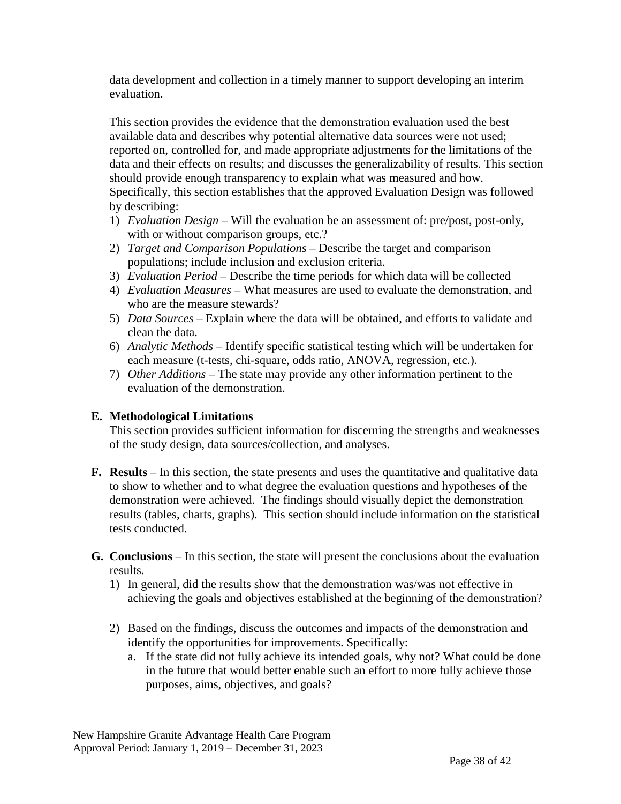data development and collection in a timely manner to support developing an interim evaluation.

This section provides the evidence that the demonstration evaluation used the best available data and describes why potential alternative data sources were not used; reported on, controlled for, and made appropriate adjustments for the limitations of the data and their effects on results; and discusses the generalizability of results. This section should provide enough transparency to explain what was measured and how. Specifically, this section establishes that the approved Evaluation Design was followed by describing:

- 1) *Evaluation Design* Will the evaluation be an assessment of: pre/post, post-only, with or without comparison groups, etc.?
- 2) *Target and Comparison Populations* Describe the target and comparison populations; include inclusion and exclusion criteria.
- 3) *Evaluation Period*  Describe the time periods for which data will be collected
- 4) *Evaluation Measures*  What measures are used to evaluate the demonstration, and who are the measure stewards?
- 5) *Data Sources*  Explain where the data will be obtained, and efforts to validate and clean the data.
- 6) *Analytic Methods* Identify specific statistical testing which will be undertaken for each measure (t-tests, chi-square, odds ratio, ANOVA, regression, etc.).
- 7) *Other Additions*  The state may provide any other information pertinent to the evaluation of the demonstration.

#### **E. Methodological Limitations**

This section provides sufficient information for discerning the strengths and weaknesses of the study design, data sources/collection, and analyses.

- **F. Results** In this section, the state presents and uses the quantitative and qualitative data to show to whether and to what degree the evaluation questions and hypotheses of the demonstration were achieved. The findings should visually depict the demonstration results (tables, charts, graphs). This section should include information on the statistical tests conducted.
- **G. Conclusions** In this section, the state will present the conclusions about the evaluation results.
	- 1) In general, did the results show that the demonstration was/was not effective in achieving the goals and objectives established at the beginning of the demonstration?
	- 2) Based on the findings, discuss the outcomes and impacts of the demonstration and identify the opportunities for improvements. Specifically:
		- a. If the state did not fully achieve its intended goals, why not? What could be done in the future that would better enable such an effort to more fully achieve those purposes, aims, objectives, and goals?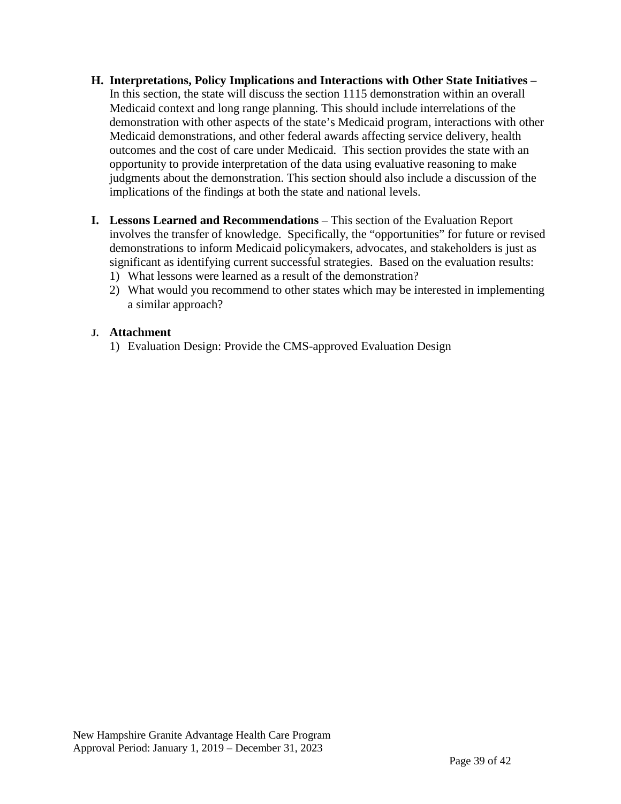- **H. Interpretations, Policy Implications and Interactions with Other State Initiatives –** In this section, the state will discuss the section 1115 demonstration within an overall Medicaid context and long range planning. This should include interrelations of the demonstration with other aspects of the state's Medicaid program, interactions with other Medicaid demonstrations, and other federal awards affecting service delivery, health outcomes and the cost of care under Medicaid. This section provides the state with an opportunity to provide interpretation of the data using evaluative reasoning to make judgments about the demonstration. This section should also include a discussion of the implications of the findings at both the state and national levels.
- **I. Lessons Learned and Recommendations** This section of the Evaluation Report involves the transfer of knowledge. Specifically, the "opportunities" for future or revised demonstrations to inform Medicaid policymakers, advocates, and stakeholders is just as significant as identifying current successful strategies. Based on the evaluation results:
	- 1) What lessons were learned as a result of the demonstration?
	- 2) What would you recommend to other states which may be interested in implementing a similar approach?

#### **J. Attachment**

1) Evaluation Design: Provide the CMS-approved Evaluation Design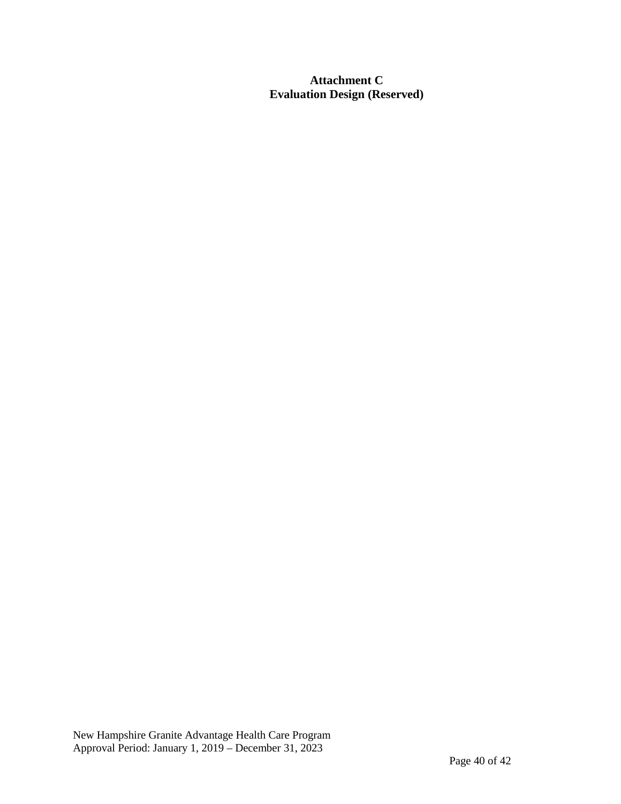**Attachment C Evaluation Design (Reserved)**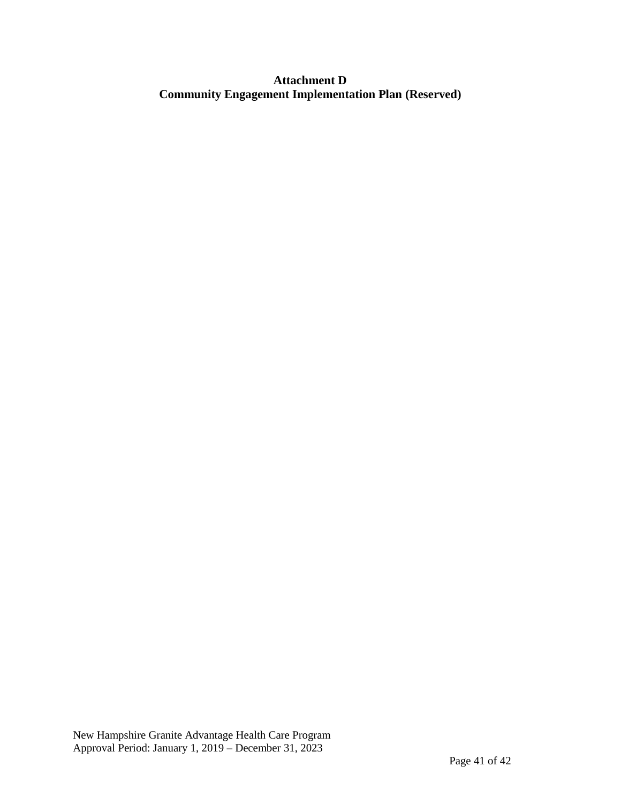#### **Attachment D Community Engagement Implementation Plan (Reserved)**